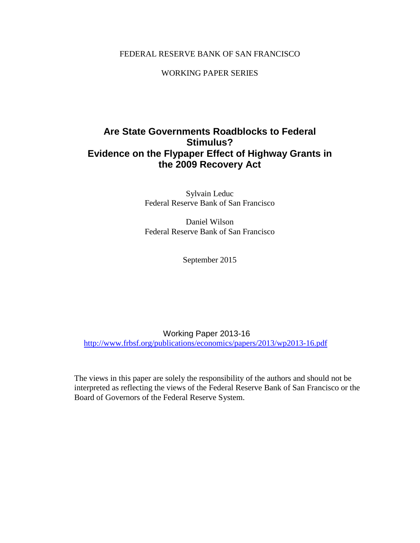### FEDERAL RESERVE BANK OF SAN FRANCISCO

WORKING PAPER SERIES

## **Are State Governments Roadblocks to Federal Stimulus? Evidence on the Flypaper Effect of Highway Grants in the 2009 Recovery Act**

Sylvain Leduc Federal Reserve Bank of San Francisco

Daniel Wilson Federal Reserve Bank of San Francisco

September 2015

Working Paper 2013-16 <http://www.frbsf.org/publications/economics/papers/2013/wp2013-16.pdf>

The views in this paper are solely the responsibility of the authors and should not be interpreted as reflecting the views of the Federal Reserve Bank of San Francisco or the Board of Governors of the Federal Reserve System.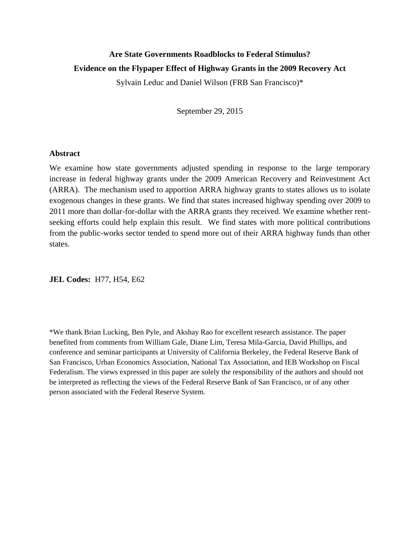# **Are State Governments Roadblocks to Federal Stimulus? Evidence on the Flypaper Effect of Highway Grants in the 2009 Recovery Act**

Sylvain Leduc and Daniel Wilson (FRB San Francisco)\*

September 29, 2015

### **Abstract**

We examine how state governments adjusted spending in response to the large temporary increase in federal highway grants under the 2009 American Recovery and Reinvestment Act (ARRA). The mechanism used to apportion ARRA highway grants to states allows us to isolate exogenous changes in these grants. We find that states increased highway spending over 2009 to 2011 more than dollar-for-dollar with the ARRA grants they received. We examine whether rentseeking efforts could help explain this result. We find states with more political contributions from the public-works sector tended to spend more out of their ARRA highway funds than other states.

**JEL Codes:** H77, H54, E62

\*We thank Brian Lucking, Ben Pyle, and Akshay Rao for excellent research assistance. The paper benefited from comments from William Gale, Diane Lim, Teresa Mila-Garcia, David Phillips, and conference and seminar participants at University of California Berkeley, the Federal Reserve Bank of San Francisco, Urban Economics Association, National Tax Association, and IEB Workshop on Fiscal Federalism. The views expressed in this paper are solely the responsibility of the authors and should not be interpreted as reflecting the views of the Federal Reserve Bank of San Francisco, or of any other person associated with the Federal Reserve System.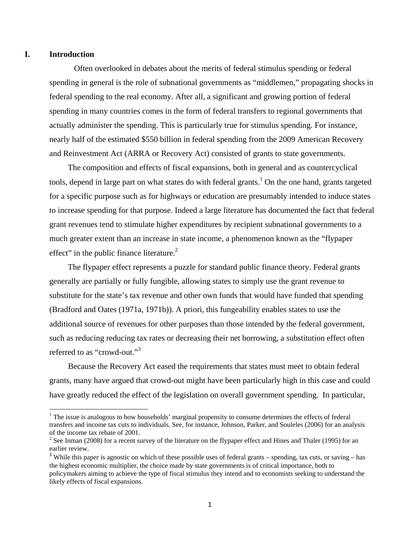### **I. Introduction**

Often overlooked in debates about the merits of federal stimulus spending or federal spending in general is the role of subnational governments as "middlemen," propagating shocks in federal spending to the real economy. After all, a significant and growing portion of federal spending in many countries comes in the form of federal transfers to regional governments that actually administer the spending. This is particularly true for stimulus spending. For instance, nearly half of the estimated \$550 billion in federal spending from the 2009 American Recovery and Reinvestment Act (ARRA or Recovery Act) consisted of grants to state governments.

The composition and effects of fiscal expansions, both in general and as countercyclical tools, depend in large part on what states do with federal grants.<sup>1</sup> On the one hand, grants targeted for a specific purpose such as for highways or education are presumably intended to induce states to increase spending for that purpose. Indeed a large literature has documented the fact that federal grant revenues tend to stimulate higher expenditures by recipient subnational governments to a much greater extent than an increase in state income, a phenomenon known as the "flypaper effect" in the public finance literature. $2$ 

The flypaper effect represents a puzzle for standard public finance theory. Federal grants generally are partially or fully fungible, allowing states to simply use the grant revenue to substitute for the state's tax revenue and other own funds that would have funded that spending (Bradford and Oates (1971a, 1971b)). A priori, this fungeability enables states to use the additional source of revenues for other purposes than those intended by the federal government, such as reducing reducing tax rates or decreasing their net borrowing, a substitution effect often referred to as "crowd-out."<sup>3</sup>

Because the Recovery Act eased the requirements that states must meet to obtain federal grants, many have argued that crowd-out might have been particularly high in this case and could have greatly reduced the effect of the legislation on overall government spending. In particular,

<sup>&</sup>lt;sup>1</sup> The issue is analogous to how households' marginal propensity to consume determines the effects of federal transfers and income tax cuts to individuals. See, for instance, Johnson, Parker, and Souleles (2006) for an analysis of the income tax rebate of 2001.

<sup>&</sup>lt;sup>2</sup> See Inman (2008) for a recent survey of the literature on the flypaper effect and Hines and Thaler (1995) for an earlier review.

<sup>&</sup>lt;sup>3</sup> While this paper is agnostic on which of these possible uses of federal grants – spending, tax cuts, or saving – has the highest economic multiplier, the choice made by state governments is of critical importance, both to policymakers aiming to achieve the type of fiscal stimulus they intend and to economists seeking to understand the likely effects of fiscal expansions.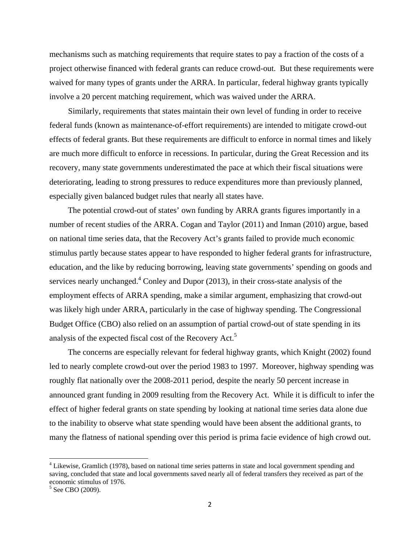mechanisms such as matching requirements that require states to pay a fraction of the costs of a project otherwise financed with federal grants can reduce crowd-out. But these requirements were waived for many types of grants under the ARRA. In particular, federal highway grants typically involve a 20 percent matching requirement, which was waived under the ARRA.

Similarly, requirements that states maintain their own level of funding in order to receive federal funds (known as maintenance-of-effort requirements) are intended to mitigate crowd-out effects of federal grants. But these requirements are difficult to enforce in normal times and likely are much more difficult to enforce in recessions. In particular, during the Great Recession and its recovery, many state governments underestimated the pace at which their fiscal situations were deteriorating, leading to strong pressures to reduce expenditures more than previously planned, especially given balanced budget rules that nearly all states have.

The potential crowd-out of states' own funding by ARRA grants figures importantly in a number of recent studies of the ARRA. Cogan and Taylor (2011) and Inman (2010) argue, based on national time series data, that the Recovery Act's grants failed to provide much economic stimulus partly because states appear to have responded to higher federal grants for infrastructure, education, and the like by reducing borrowing, leaving state governments' spending on goods and services nearly unchanged.<sup>4</sup> Conley and Dupor (2013), in their cross-state analysis of the employment effects of ARRA spending, make a similar argument, emphasizing that crowd-out was likely high under ARRA, particularly in the case of highway spending. The Congressional Budget Office (CBO) also relied on an assumption of partial crowd-out of state spending in its analysis of the expected fiscal cost of the Recovery Act.<sup>5</sup>

The concerns are especially relevant for federal highway grants, which Knight (2002) found led to nearly complete crowd-out over the period 1983 to 1997. Moreover, highway spending was roughly flat nationally over the 2008-2011 period, despite the nearly 50 percent increase in announced grant funding in 2009 resulting from the Recovery Act. While it is difficult to infer the effect of higher federal grants on state spending by looking at national time series data alone due to the inability to observe what state spending would have been absent the additional grants, to many the flatness of national spending over this period is prima facie evidence of high crowd out.

<sup>&</sup>lt;sup>4</sup> Likewise, Gramlich (1978), based on national time series patterns in state and local government spending and saving, concluded that state and local governments saved nearly all of federal transfers they received as part of the economic stimulus of 1976.

<sup>&</sup>lt;sup>5</sup> See CBO (2009).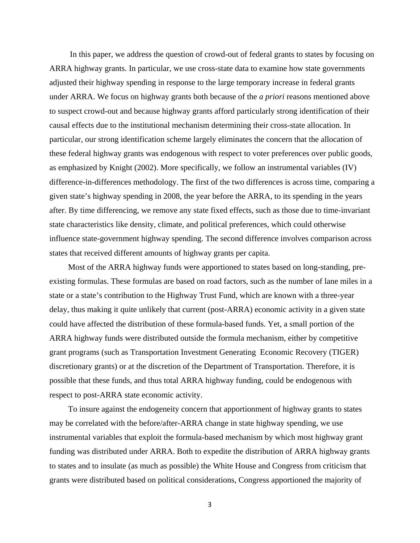In this paper, we address the question of crowd-out of federal grants to states by focusing on ARRA highway grants. In particular, we use cross-state data to examine how state governments adjusted their highway spending in response to the large temporary increase in federal grants under ARRA. We focus on highway grants both because of the *a priori* reasons mentioned above to suspect crowd-out and because highway grants afford particularly strong identification of their causal effects due to the institutional mechanism determining their cross-state allocation. In particular, our strong identification scheme largely eliminates the concern that the allocation of these federal highway grants was endogenous with respect to voter preferences over public goods, as emphasized by Knight (2002). More specifically, we follow an instrumental variables (IV) difference-in-differences methodology. The first of the two differences is across time, comparing a given state's highway spending in 2008, the year before the ARRA, to its spending in the years after. By time differencing, we remove any state fixed effects, such as those due to time-invariant state characteristics like density, climate, and political preferences, which could otherwise influence state-government highway spending. The second difference involves comparison across states that received different amounts of highway grants per capita.

Most of the ARRA highway funds were apportioned to states based on long-standing, preexisting formulas. These formulas are based on road factors, such as the number of lane miles in a state or a state's contribution to the Highway Trust Fund, which are known with a three-year delay, thus making it quite unlikely that current (post-ARRA) economic activity in a given state could have affected the distribution of these formula-based funds. Yet, a small portion of the ARRA highway funds were distributed outside the formula mechanism, either by competitive grant programs (such as Transportation Investment Generating Economic Recovery (TIGER) discretionary grants) or at the discretion of the Department of Transportation. Therefore, it is possible that these funds, and thus total ARRA highway funding, could be endogenous with respect to post-ARRA state economic activity.

To insure against the endogeneity concern that apportionment of highway grants to states may be correlated with the before/after-ARRA change in state highway spending, we use instrumental variables that exploit the formula-based mechanism by which most highway grant funding was distributed under ARRA. Both to expedite the distribution of ARRA highway grants to states and to insulate (as much as possible) the White House and Congress from criticism that grants were distributed based on political considerations, Congress apportioned the majority of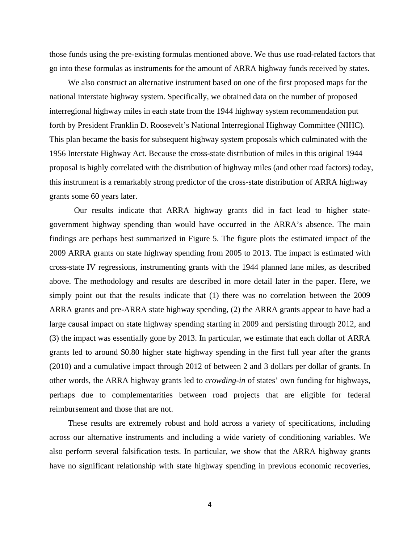those funds using the pre-existing formulas mentioned above. We thus use road-related factors that go into these formulas as instruments for the amount of ARRA highway funds received by states.

We also construct an alternative instrument based on one of the first proposed maps for the national interstate highway system. Specifically, we obtained data on the number of proposed interregional highway miles in each state from the 1944 highway system recommendation put forth by President Franklin D. Roosevelt's National Interregional Highway Committee (NIHC). This plan became the basis for subsequent highway system proposals which culminated with the 1956 Interstate Highway Act. Because the cross-state distribution of miles in this original 1944 proposal is highly correlated with the distribution of highway miles (and other road factors) today, this instrument is a remarkably strong predictor of the cross-state distribution of ARRA highway grants some 60 years later.

Our results indicate that ARRA highway grants did in fact lead to higher stategovernment highway spending than would have occurred in the ARRA's absence. The main findings are perhaps best summarized in Figure 5. The figure plots the estimated impact of the 2009 ARRA grants on state highway spending from 2005 to 2013. The impact is estimated with cross-state IV regressions, instrumenting grants with the 1944 planned lane miles, as described above. The methodology and results are described in more detail later in the paper. Here, we simply point out that the results indicate that (1) there was no correlation between the 2009 ARRA grants and pre-ARRA state highway spending, (2) the ARRA grants appear to have had a large causal impact on state highway spending starting in 2009 and persisting through 2012, and (3) the impact was essentially gone by 2013. In particular, we estimate that each dollar of ARRA grants led to around \$0.80 higher state highway spending in the first full year after the grants (2010) and a cumulative impact through 2012 of between 2 and 3 dollars per dollar of grants. In other words, the ARRA highway grants led to *crowding-in* of states' own funding for highways, perhaps due to complementarities between road projects that are eligible for federal reimbursement and those that are not.

These results are extremely robust and hold across a variety of specifications, including across our alternative instruments and including a wide variety of conditioning variables. We also perform several falsification tests. In particular, we show that the ARRA highway grants have no significant relationship with state highway spending in previous economic recoveries,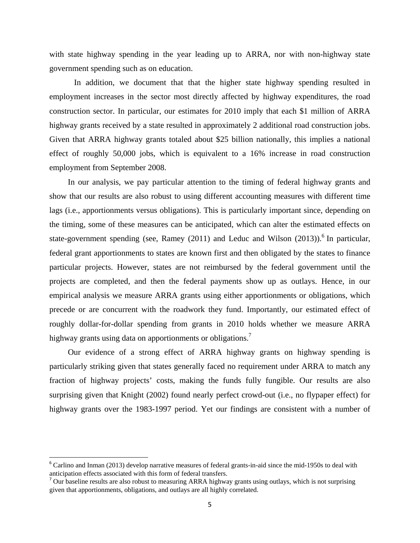with state highway spending in the year leading up to ARRA, nor with non-highway state government spending such as on education.

 In addition, we document that that the higher state highway spending resulted in employment increases in the sector most directly affected by highway expenditures, the road construction sector. In particular, our estimates for 2010 imply that each \$1 million of ARRA highway grants received by a state resulted in approximately 2 additional road construction jobs. Given that ARRA highway grants totaled about \$25 billion nationally, this implies a national effect of roughly 50,000 jobs, which is equivalent to a 16% increase in road construction employment from September 2008.

In our analysis, we pay particular attention to the timing of federal highway grants and show that our results are also robust to using different accounting measures with different time lags (i.e., apportionments versus obligations). This is particularly important since, depending on the timing, some of these measures can be anticipated, which can alter the estimated effects on state-government spending (see, Ramey  $(2011)$  and Leduc and Wilson  $(2013)$ ).<sup>6</sup> In particular, federal grant apportionments to states are known first and then obligated by the states to finance particular projects. However, states are not reimbursed by the federal government until the projects are completed, and then the federal payments show up as outlays. Hence, in our empirical analysis we measure ARRA grants using either apportionments or obligations, which precede or are concurrent with the roadwork they fund. Importantly, our estimated effect of roughly dollar-for-dollar spending from grants in 2010 holds whether we measure ARRA highway grants using data on apportionments or obligations.<sup>7</sup>

Our evidence of a strong effect of ARRA highway grants on highway spending is particularly striking given that states generally faced no requirement under ARRA to match any fraction of highway projects' costs, making the funds fully fungible. Our results are also surprising given that Knight (2002) found nearly perfect crowd-out (i.e., no flypaper effect) for highway grants over the 1983-1997 period. Yet our findings are consistent with a number of

 $6$  Carlino and Inman (2013) develop narrative measures of federal grants-in-aid since the mid-1950s to deal with anticipation effects associated with this form of federal transfers.

<sup>&</sup>lt;sup>7</sup> Our baseline results are also robust to measuring ARRA highway grants using outlays, which is not surprising given that apportionments, obligations, and outlays are all highly correlated.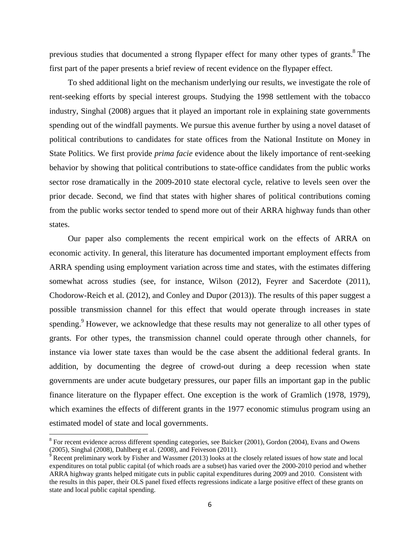previous studies that documented a strong flypaper effect for many other types of grants.<sup>8</sup> The first part of the paper presents a brief review of recent evidence on the flypaper effect.

To shed additional light on the mechanism underlying our results, we investigate the role of rent-seeking efforts by special interest groups. Studying the 1998 settlement with the tobacco industry, Singhal (2008) argues that it played an important role in explaining state governments spending out of the windfall payments. We pursue this avenue further by using a novel dataset of political contributions to candidates for state offices from the National Institute on Money in State Politics. We first provide *prima facie* evidence about the likely importance of rent-seeking behavior by showing that political contributions to state-office candidates from the public works sector rose dramatically in the 2009-2010 state electoral cycle, relative to levels seen over the prior decade. Second, we find that states with higher shares of political contributions coming from the public works sector tended to spend more out of their ARRA highway funds than other states.

Our paper also complements the recent empirical work on the effects of ARRA on economic activity. In general, this literature has documented important employment effects from ARRA spending using employment variation across time and states, with the estimates differing somewhat across studies (see, for instance, Wilson (2012), Feyrer and Sacerdote (2011), Chodorow-Reich et al. (2012), and Conley and Dupor (2013)). The results of this paper suggest a possible transmission channel for this effect that would operate through increases in state spending.<sup>9</sup> However, we acknowledge that these results may not generalize to all other types of grants. For other types, the transmission channel could operate through other channels, for instance via lower state taxes than would be the case absent the additional federal grants. In addition, by documenting the degree of crowd-out during a deep recession when state governments are under acute budgetary pressures, our paper fills an important gap in the public finance literature on the flypaper effect. One exception is the work of Gramlich (1978, 1979), which examines the effects of different grants in the 1977 economic stimulus program using an estimated model of state and local governments.

 $8$  For recent evidence across different spending categories, see Baicker (2001), Gordon (2004), Evans and Owens (2005), Singhal (2008), Dahlberg et al. (2008), and Feiveson (2011).

 $9$  Recent preliminary work by Fisher and Wassmer (2013) looks at the closely related issues of how state and local expenditures on total public capital (of which roads are a subset) has varied over the 2000-2010 period and whether ARRA highway grants helped mitigate cuts in public capital expenditures during 2009 and 2010. Consistent with the results in this paper, their OLS panel fixed effects regressions indicate a large positive effect of these grants on state and local public capital spending.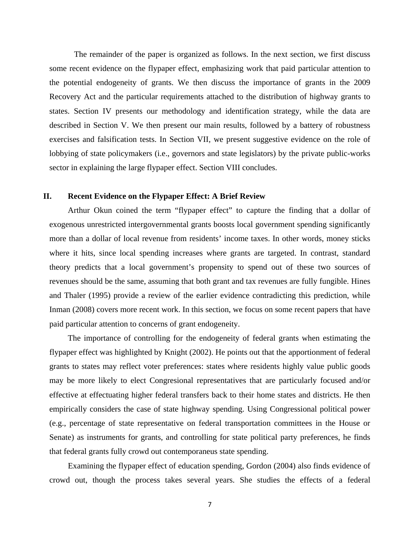The remainder of the paper is organized as follows. In the next section, we first discuss some recent evidence on the flypaper effect, emphasizing work that paid particular attention to the potential endogeneity of grants. We then discuss the importance of grants in the 2009 Recovery Act and the particular requirements attached to the distribution of highway grants to states. Section IV presents our methodology and identification strategy, while the data are described in Section V. We then present our main results, followed by a battery of robustness exercises and falsification tests. In Section VII, we present suggestive evidence on the role of lobbying of state policymakers (i.e., governors and state legislators) by the private public-works sector in explaining the large flypaper effect. Section VIII concludes.

### **II. Recent Evidence on the Flypaper Effect: A Brief Review**

Arthur Okun coined the term "flypaper effect" to capture the finding that a dollar of exogenous unrestricted intergovernmental grants boosts local government spending significantly more than a dollar of local revenue from residents' income taxes. In other words, money sticks where it hits, since local spending increases where grants are targeted. In contrast, standard theory predicts that a local government's propensity to spend out of these two sources of revenues should be the same, assuming that both grant and tax revenues are fully fungible. Hines and Thaler (1995) provide a review of the earlier evidence contradicting this prediction, while Inman (2008) covers more recent work. In this section, we focus on some recent papers that have paid particular attention to concerns of grant endogeneity.

The importance of controlling for the endogeneity of federal grants when estimating the flypaper effect was highlighted by Knight (2002). He points out that the apportionment of federal grants to states may reflect voter preferences: states where residents highly value public goods may be more likely to elect Congresional representatives that are particularly focused and/or effective at effectuating higher federal transfers back to their home states and districts. He then empirically considers the case of state highway spending. Using Congressional political power (e.g., percentage of state representative on federal transportation committees in the House or Senate) as instruments for grants, and controlling for state political party preferences, he finds that federal grants fully crowd out contemporaneus state spending.

Examining the flypaper effect of education spending, Gordon (2004) also finds evidence of crowd out, though the process takes several years. She studies the effects of a federal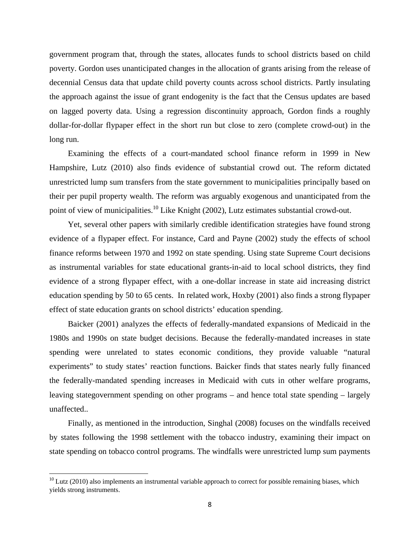government program that, through the states, allocates funds to school districts based on child poverty. Gordon uses unanticipated changes in the allocation of grants arising from the release of decennial Census data that update child poverty counts across school districts. Partly insulating the approach against the issue of grant endogenity is the fact that the Census updates are based on lagged poverty data. Using a regression discontinuity approach, Gordon finds a roughly dollar-for-dollar flypaper effect in the short run but close to zero (complete crowd-out) in the long run.

Examining the effects of a court-mandated school finance reform in 1999 in New Hampshire, Lutz (2010) also finds evidence of substantial crowd out. The reform dictated unrestricted lump sum transfers from the state government to municipalities principally based on their per pupil property wealth. The reform was arguably exogenous and unanticipated from the point of view of municipalities.<sup>10</sup> Like Knight (2002), Lutz estimates substantial crowd-out.

Yet, several other papers with similarly credible identification strategies have found strong evidence of a flypaper effect. For instance, Card and Payne (2002) study the effects of school finance reforms between 1970 and 1992 on state spending. Using state Supreme Court decisions as instrumental variables for state educational grants-in-aid to local school districts, they find evidence of a strong flypaper effect, with a one-dollar increase in state aid increasing district education spending by 50 to 65 cents. In related work, Hoxby (2001) also finds a strong flypaper effect of state education grants on school districts' education spending.

Baicker (2001) analyzes the effects of federally-mandated expansions of Medicaid in the 1980s and 1990s on state budget decisions. Because the federally-mandated increases in state spending were unrelated to states economic conditions, they provide valuable "natural experiments" to study states' reaction functions. Baicker finds that states nearly fully financed the federally-mandated spending increases in Medicaid with cuts in other welfare programs, leaving stategovernment spending on other programs – and hence total state spending – largely unaffected..

Finally, as mentioned in the introduction, Singhal (2008) focuses on the windfalls received by states following the 1998 settlement with the tobacco industry, examining their impact on state spending on tobacco control programs. The windfalls were unrestricted lump sum payments

 $10$  Lutz (2010) also implements an instrumental variable approach to correct for possible remaining biases, which yields strong instruments.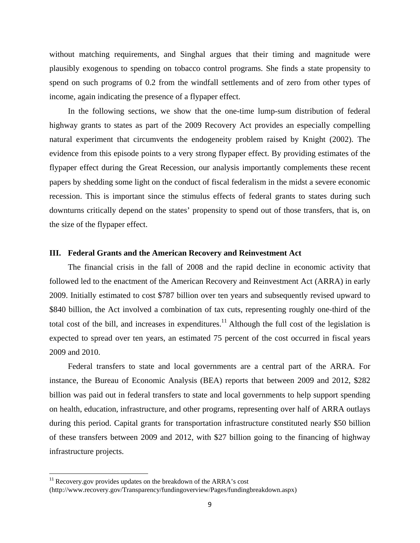without matching requirements, and Singhal argues that their timing and magnitude were plausibly exogenous to spending on tobacco control programs. She finds a state propensity to spend on such programs of 0.2 from the windfall settlements and of zero from other types of income, again indicating the presence of a flypaper effect.

In the following sections, we show that the one-time lump-sum distribution of federal highway grants to states as part of the 2009 Recovery Act provides an especially compelling natural experiment that circumvents the endogeneity problem raised by Knight (2002). The evidence from this episode points to a very strong flypaper effect. By providing estimates of the flypaper effect during the Great Recession, our analysis importantly complements these recent papers by shedding some light on the conduct of fiscal federalism in the midst a severe economic recession. This is important since the stimulus effects of federal grants to states during such downturns critically depend on the states' propensity to spend out of those transfers, that is, on the size of the flypaper effect.

### **III. Federal Grants and the American Recovery and Reinvestment Act**

The financial crisis in the fall of 2008 and the rapid decline in economic activity that followed led to the enactment of the American Recovery and Reinvestment Act (ARRA) in early 2009. Initially estimated to cost \$787 billion over ten years and subsequently revised upward to \$840 billion, the Act involved a combination of tax cuts, representing roughly one-third of the total cost of the bill, and increases in expenditures.<sup>11</sup> Although the full cost of the legislation is expected to spread over ten years, an estimated 75 percent of the cost occurred in fiscal years 2009 and 2010.

Federal transfers to state and local governments are a central part of the ARRA. For instance, the Bureau of Economic Analysis (BEA) reports that between 2009 and 2012, \$282 billion was paid out in federal transfers to state and local governments to help support spending on health, education, infrastructure, and other programs, representing over half of ARRA outlays during this period. Capital grants for transportation infrastructure constituted nearly \$50 billion of these transfers between 2009 and 2012, with \$27 billion going to the financing of highway infrastructure projects.

 $11$ <sup>11</sup> Recovery.gov provides updates on the breakdown of the ARRA's cost (http://www.recovery.gov/Transparency/fundingoverview/Pages/fundingbreakdown.aspx)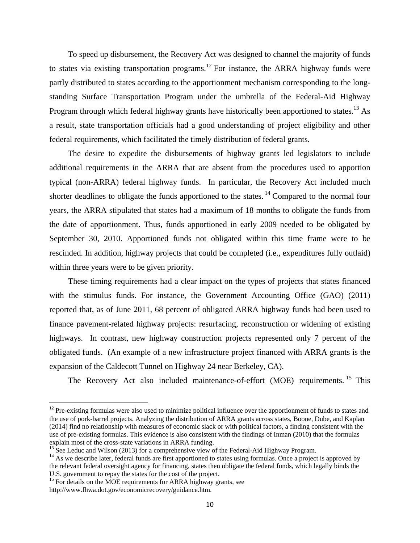To speed up disbursement, the Recovery Act was designed to channel the majority of funds to states via existing transportation programs.<sup>12</sup> For instance, the ARRA highway funds were partly distributed to states according to the apportionment mechanism corresponding to the longstanding Surface Transportation Program under the umbrella of the Federal-Aid Highway Program through which federal highway grants have historically been apportioned to states.<sup>13</sup> As a result, state transportation officials had a good understanding of project eligibility and other federal requirements, which facilitated the timely distribution of federal grants.

The desire to expedite the disbursements of highway grants led legislators to include additional requirements in the ARRA that are absent from the procedures used to apportion typical (non-ARRA) federal highway funds. In particular, the Recovery Act included much shorter deadlines to obligate the funds apportioned to the states.<sup>14</sup> Compared to the normal four years, the ARRA stipulated that states had a maximum of 18 months to obligate the funds from the date of apportionment. Thus, funds apportioned in early 2009 needed to be obligated by September 30, 2010. Apportioned funds not obligated within this time frame were to be rescinded. In addition, highway projects that could be completed (i.e., expenditures fully outlaid) within three years were to be given priority.

These timing requirements had a clear impact on the types of projects that states financed with the stimulus funds. For instance, the Government Accounting Office (GAO) (2011) reported that, as of June 2011, 68 percent of obligated ARRA highway funds had been used to finance pavement-related highway projects: resurfacing, reconstruction or widening of existing highways. In contrast, new highway construction projects represented only 7 percent of the obligated funds. (An example of a new infrastructure project financed with ARRA grants is the expansion of the Caldecott Tunnel on Highway 24 near Berkeley, CA).

The Recovery Act also included maintenance-of-effort (MOE) requirements.<sup>15</sup> This

 $12$  Pre-existing formulas were also used to minimize political influence over the apportionment of funds to states and the use of pork-barrel projects. Analyzing the distribution of ARRA grants across states, Boone, Dube, and Kaplan (2014) find no relationship with measures of economic slack or with political factors, a finding consistent with the use of pre-existing formulas. This evidence is also consistent with the findings of Inman (2010) that the formulas explain most of the cross-state variations in ARRA funding.

<sup>&</sup>lt;sup>13</sup> See Leduc and Wilson (2013) for a comprehensive view of the Federal-Aid Highway Program.

 $14$  As we describe later, federal funds are first apportioned to states using formulas. Once a project is approved by the relevant federal oversight agency for financing, states then obligate the federal funds, which legally binds the U.S. government to repay the states for the cost of the project.

 $15$  For details on the MOE requirements for ARRA highway grants, see http://www.fhwa.dot.gov/economicrecovery/guidance.htm.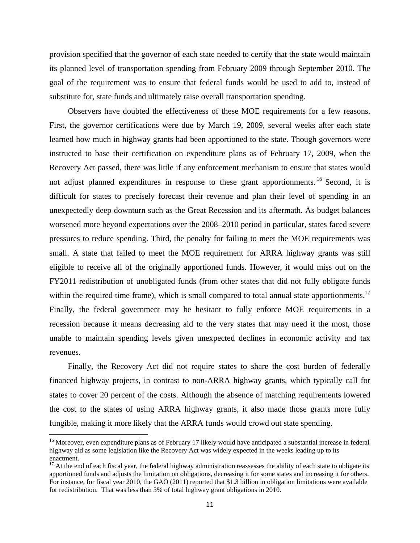provision specified that the governor of each state needed to certify that the state would maintain its planned level of transportation spending from February 2009 through September 2010. The goal of the requirement was to ensure that federal funds would be used to add to, instead of substitute for, state funds and ultimately raise overall transportation spending.

Observers have doubted the effectiveness of these MOE requirements for a few reasons. First, the governor certifications were due by March 19, 2009, several weeks after each state learned how much in highway grants had been apportioned to the state. Though governors were instructed to base their certification on expenditure plans as of February 17, 2009, when the Recovery Act passed, there was little if any enforcement mechanism to ensure that states would not adjust planned expenditures in response to these grant apportionments. <sup>16</sup> Second, it is difficult for states to precisely forecast their revenue and plan their level of spending in an unexpectedly deep downturn such as the Great Recession and its aftermath. As budget balances worsened more beyond expectations over the 2008–2010 period in particular, states faced severe pressures to reduce spending. Third, the penalty for failing to meet the MOE requirements was small. A state that failed to meet the MOE requirement for ARRA highway grants was still eligible to receive all of the originally apportioned funds. However, it would miss out on the FY2011 redistribution of unobligated funds (from other states that did not fully obligate funds within the required time frame), which is small compared to total annual state apportionments.<sup>17</sup> Finally, the federal government may be hesitant to fully enforce MOE requirements in a recession because it means decreasing aid to the very states that may need it the most, those unable to maintain spending levels given unexpected declines in economic activity and tax revenues.

Finally, the Recovery Act did not require states to share the cost burden of federally financed highway projects, in contrast to non-ARRA highway grants, which typically call for states to cover 20 percent of the costs. Although the absence of matching requirements lowered the cost to the states of using ARRA highway grants, it also made those grants more fully fungible, making it more likely that the ARRA funds would crowd out state spending.

<sup>&</sup>lt;sup>16</sup> Moreover, even expenditure plans as of February 17 likely would have anticipated a substantial increase in federal highway aid as some legislation like the Recovery Act was widely expected in the weeks leading up to its enactment.

 $17$  At the end of each fiscal year, the federal highway administration reassesses the ability of each state to obligate its apportioned funds and adjusts the limitation on obligations, decreasing it for some states and increasing it for others. For instance, for fiscal year 2010, the GAO (2011) reported that \$1.3 billion in obligation limitations were available for redistribution. That was less than 3% of total highway grant obligations in 2010.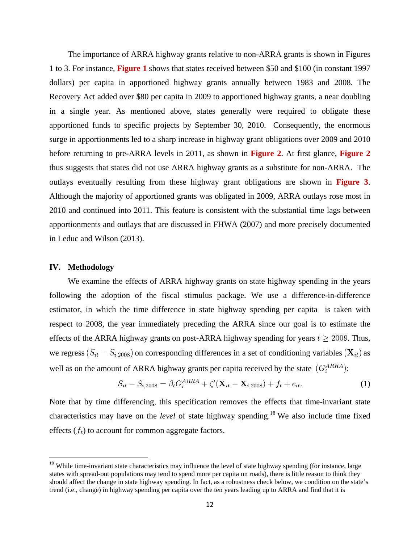The importance of ARRA highway grants relative to non-ARRA grants is shown in Figures 1 to 3. For instance, **Figure 1** shows that states received between \$50 and \$100 (in constant 1997 dollars) per capita in apportioned highway grants annually between 1983 and 2008. The Recovery Act added over \$80 per capita in 2009 to apportioned highway grants, a near doubling in a single year. As mentioned above, states generally were required to obligate these apportioned funds to specific projects by September 30, 2010. Consequently, the enormous surge in apportionments led to a sharp increase in highway grant obligations over 2009 and 2010 before returning to pre-ARRA levels in 2011, as shown in **Figure 2**. At first glance, **Figure 2** thus suggests that states did not use ARRA highway grants as a substitute for non-ARRA. The outlays eventually resulting from these highway grant obligations are shown in **Figure 3**. Although the majority of apportioned grants was obligated in 2009, ARRA outlays rose most in 2010 and continued into 2011. This feature is consistent with the substantial time lags between apportionments and outlays that are discussed in FHWA (2007) and more precisely documented in Leduc and Wilson (2013).

### **IV. Methodology**

We examine the effects of ARRA highway grants on state highway spending in the years following the adoption of the fiscal stimulus package. We use a difference-in-difference estimator, in which the time difference in state highway spending per capita is taken with respect to 2008, the year immediately preceding the ARRA since our goal is to estimate the effects of the ARRA highway grants on post-ARRA highway spending for years  $t \ge 2009$ . Thus, we regress  $(S_{it} - S_{i,2008})$  on corresponding differences in a set of conditioning variables  $(X_{it})$  as well as on the amount of ARRA highway grants per capita received by the state  $(G_i^{ARRA})$ :

$$
S_{it} - S_{i,2008} = \beta_t G_i^{ARRA} + \zeta'(\mathbf{X}_{it} - \mathbf{X}_{i,2008}) + f_t + e_{it}.
$$
 (1)

Note that by time differencing, this specification removes the effects that time-invariant state characteristics may have on the *level* of state highway spending.18 We also include time fixed effects  $(f_t)$  to account for common aggregate factors.

<sup>&</sup>lt;sup>18</sup> While time-invariant state characteristics may influence the level of state highway spending (for instance, large states with spread-out populations may tend to spend more per capita on roads), there is little reason to think they should affect the change in state highway spending. In fact, as a robustness check below, we condition on the state's trend (i.e., change) in highway spending per capita over the ten years leading up to ARRA and find that it is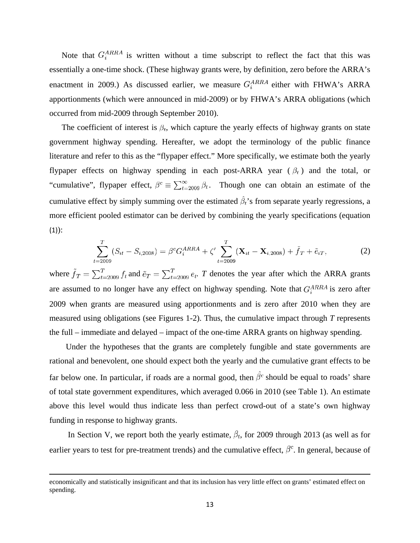Note that  $G_i^{ARRA}$  is written without a time subscript to reflect the fact that this was essentially a one-time shock. (These highway grants were, by definition, zero before the ARRA's enactment in 2009.) As discussed earlier, we measure  $G_i^{ARRA}$  either with FHWA's ARRA apportionments (which were announced in mid-2009) or by FHWA's ARRA obligations (which occurred from mid-2009 through September 2010).

The coefficient of interest is  $\beta_t$ , which capture the yearly effects of highway grants on state government highway spending. Hereafter, we adopt the terminology of the public finance literature and refer to this as the "flypaper effect." More specifically, we estimate both the yearly flypaper effects on highway spending in each post-ARRA year  $(\beta_t)$  and the total, or "cumulative", flypaper effect,  $\beta^c \equiv \sum_{t=2009}^{\infty} \beta_t$ . Though one can obtain an estimate of the cumulative effect by simply summing over the estimated  $\hat{\beta}_t$ 's from separate yearly regressions, a more efficient pooled estimator can be derived by combining the yearly specifications (equation  $(1)$ :

$$
\sum_{t=2009}^{T} (S_{it} - S_{i,2008}) = \beta^{c} G_{i}^{ARRA} + \zeta' \sum_{t=2009}^{T} (\mathbf{X}_{it} - \mathbf{X}_{i,2008}) + \tilde{f}_{T} + \tilde{e}_{iT},
$$
 (2)

where  $\tilde{f}_T = \sum_{t=2009}^{T} f_t$  and  $\tilde{e}_T = \sum_{t=2009}^{T} e_t$ . *T* denotes the year after which the ARRA grants are assumed to no longer have any effect on highway spending. Note that  $G_i^{ARRA}$  is zero after 2009 when grants are measured using apportionments and is zero after 2010 when they are measured using obligations (see Figures 1-2). Thus, the cumulative impact through *T* represents the full – immediate and delayed – impact of the one-time ARRA grants on highway spending.

 Under the hypotheses that the grants are completely fungible and state governments are rational and benevolent, one should expect both the yearly and the cumulative grant effects to be far below one. In particular, if roads are a normal good, then  $\hat{\beta}^c$  should be equal to roads' share of total state government expenditures, which averaged 0.066 in 2010 (see Table 1). An estimate above this level would thus indicate less than perfect crowd-out of a state's own highway funding in response to highway grants.

In Section V, we report both the yearly estimate,  $\beta_t$ , for 2009 through 2013 (as well as for earlier years to test for pre-treatment trends) and the cumulative effect,  $\beta^c$ . In general, because of

<u> 1989 - Johann Stein, marwolaethau a bhannaich an t-an an t-an an t-an an t-an an t-an an t-an an t-an an t-a</u>

economically and statistically insignificant and that its inclusion has very little effect on grants' estimated effect on spending.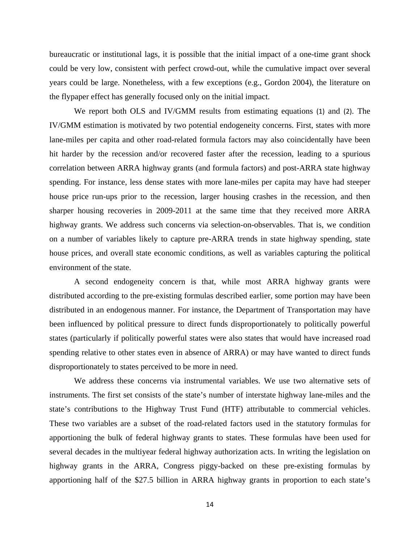bureaucratic or institutional lags, it is possible that the initial impact of a one-time grant shock could be very low, consistent with perfect crowd-out, while the cumulative impact over several years could be large. Nonetheless, with a few exceptions (e.g., Gordon 2004), the literature on the flypaper effect has generally focused only on the initial impact.

 We report both OLS and IV/GMM results from estimating equations (1) and (2). The IV/GMM estimation is motivated by two potential endogeneity concerns. First, states with more lane-miles per capita and other road-related formula factors may also coincidentally have been hit harder by the recession and/or recovered faster after the recession, leading to a spurious correlation between ARRA highway grants (and formula factors) and post-ARRA state highway spending. For instance, less dense states with more lane-miles per capita may have had steeper house price run-ups prior to the recession, larger housing crashes in the recession, and then sharper housing recoveries in 2009-2011 at the same time that they received more ARRA highway grants. We address such concerns via selection-on-observables. That is, we condition on a number of variables likely to capture pre-ARRA trends in state highway spending, state house prices, and overall state economic conditions, as well as variables capturing the political environment of the state.

A second endogeneity concern is that, while most ARRA highway grants were distributed according to the pre-existing formulas described earlier, some portion may have been distributed in an endogenous manner. For instance, the Department of Transportation may have been influenced by political pressure to direct funds disproportionately to politically powerful states (particularly if politically powerful states were also states that would have increased road spending relative to other states even in absence of ARRA) or may have wanted to direct funds disproportionately to states perceived to be more in need.

We address these concerns via instrumental variables. We use two alternative sets of instruments. The first set consists of the state's number of interstate highway lane-miles and the state's contributions to the Highway Trust Fund (HTF) attributable to commercial vehicles. These two variables are a subset of the road-related factors used in the statutory formulas for apportioning the bulk of federal highway grants to states. These formulas have been used for several decades in the multiyear federal highway authorization acts. In writing the legislation on highway grants in the ARRA, Congress piggy-backed on these pre-existing formulas by apportioning half of the \$27.5 billion in ARRA highway grants in proportion to each state's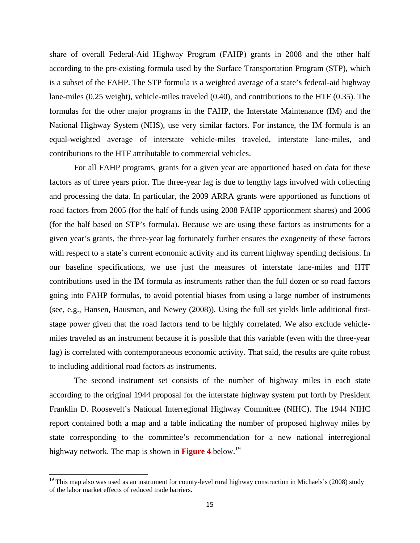share of overall Federal-Aid Highway Program (FAHP) grants in 2008 and the other half according to the pre-existing formula used by the Surface Transportation Program (STP), which is a subset of the FAHP. The STP formula is a weighted average of a state's federal-aid highway lane-miles (0.25 weight), vehicle-miles traveled (0.40), and contributions to the HTF (0.35). The formulas for the other major programs in the FAHP, the Interstate Maintenance (IM) and the National Highway System (NHS), use very similar factors. For instance, the IM formula is an equal-weighted average of interstate vehicle-miles traveled, interstate lane-miles, and contributions to the HTF attributable to commercial vehicles.

 For all FAHP programs, grants for a given year are apportioned based on data for these factors as of three years prior. The three-year lag is due to lengthy lags involved with collecting and processing the data. In particular, the 2009 ARRA grants were apportioned as functions of road factors from 2005 (for the half of funds using 2008 FAHP apportionment shares) and 2006 (for the half based on STP's formula). Because we are using these factors as instruments for a given year's grants, the three-year lag fortunately further ensures the exogeneity of these factors with respect to a state's current economic activity and its current highway spending decisions. In our baseline specifications, we use just the measures of interstate lane-miles and HTF contributions used in the IM formula as instruments rather than the full dozen or so road factors going into FAHP formulas, to avoid potential biases from using a large number of instruments (see, e.g., Hansen, Hausman, and Newey (2008)). Using the full set yields little additional firststage power given that the road factors tend to be highly correlated. We also exclude vehiclemiles traveled as an instrument because it is possible that this variable (even with the three-year lag) is correlated with contemporaneous economic activity. That said, the results are quite robust to including additional road factors as instruments.

 The second instrument set consists of the number of highway miles in each state according to the original 1944 proposal for the interstate highway system put forth by President Franklin D. Roosevelt's National Interregional Highway Committee (NIHC). The 1944 NIHC report contained both a map and a table indicating the number of proposed highway miles by state corresponding to the committee's recommendation for a new national interregional highway network. The map is shown in **Figure 4** below.19

 $19$  This map also was used as an instrument for county-level rural highway construction in Michaels's (2008) study of the labor market effects of reduced trade barriers.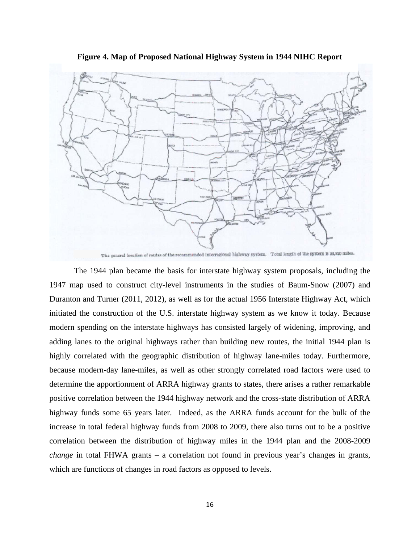

**Figure 4. Map of Proposed National Highway System in 1944 NIHC Report** 

The general location of routes of the recommended interegional highway system. Total length of the system is 33,920 miles.

The 1944 plan became the basis for interstate highway system proposals, including the 1947 map used to construct city-level instruments in the studies of Baum-Snow (2007) and Duranton and Turner (2011, 2012), as well as for the actual 1956 Interstate Highway Act, which initiated the construction of the U.S. interstate highway system as we know it today. Because modern spending on the interstate highways has consisted largely of widening, improving, and adding lanes to the original highways rather than building new routes, the initial 1944 plan is highly correlated with the geographic distribution of highway lane-miles today. Furthermore, because modern-day lane-miles, as well as other strongly correlated road factors were used to determine the apportionment of ARRA highway grants to states, there arises a rather remarkable positive correlation between the 1944 highway network and the cross-state distribution of ARRA highway funds some 65 years later. Indeed, as the ARRA funds account for the bulk of the increase in total federal highway funds from 2008 to 2009, there also turns out to be a positive correlation between the distribution of highway miles in the 1944 plan and the 2008-2009 *change* in total FHWA grants – a correlation not found in previous year's changes in grants, which are functions of changes in road factors as opposed to levels.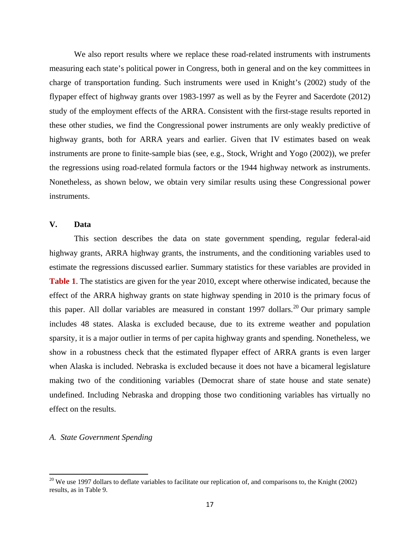We also report results where we replace these road-related instruments with instruments measuring each state's political power in Congress, both in general and on the key committees in charge of transportation funding. Such instruments were used in Knight's (2002) study of the flypaper effect of highway grants over 1983-1997 as well as by the Feyrer and Sacerdote (2012) study of the employment effects of the ARRA. Consistent with the first-stage results reported in these other studies, we find the Congressional power instruments are only weakly predictive of highway grants, both for ARRA years and earlier. Given that IV estimates based on weak instruments are prone to finite-sample bias (see, e.g., Stock, Wright and Yogo (2002)), we prefer the regressions using road-related formula factors or the 1944 highway network as instruments. Nonetheless, as shown below, we obtain very similar results using these Congressional power instruments.

### **V. Data**

This section describes the data on state government spending, regular federal-aid highway grants, ARRA highway grants, the instruments, and the conditioning variables used to estimate the regressions discussed earlier. Summary statistics for these variables are provided in **Table 1**. The statistics are given for the year 2010, except where otherwise indicated, because the effect of the ARRA highway grants on state highway spending in 2010 is the primary focus of this paper. All dollar variables are measured in constant  $1997$  dollars.<sup>20</sup> Our primary sample includes 48 states. Alaska is excluded because, due to its extreme weather and population sparsity, it is a major outlier in terms of per capita highway grants and spending. Nonetheless, we show in a robustness check that the estimated flypaper effect of ARRA grants is even larger when Alaska is included. Nebraska is excluded because it does not have a bicameral legislature making two of the conditioning variables (Democrat share of state house and state senate) undefined. Including Nebraska and dropping those two conditioning variables has virtually no effect on the results.

### *A. State Government Spending*

 $20$  We use 1997 dollars to deflate variables to facilitate our replication of, and comparisons to, the Knight (2002) results, as in Table 9.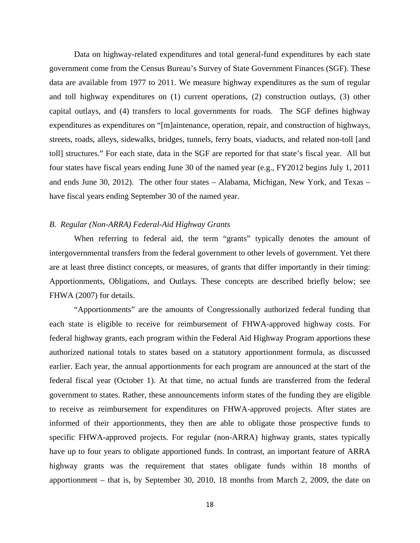Data on highway-related expenditures and total general-fund expenditures by each state government come from the Census Bureau's Survey of State Government Finances (SGF). These data are available from 1977 to 2011. We measure highway expenditures as the sum of regular and toll highway expenditures on (1) current operations, (2) construction outlays, (3) other capital outlays, and (4) transfers to local governments for roads. The SGF defines highway expenditures as expenditures on "[m]aintenance, operation, repair, and construction of highways, streets, roads, alleys, sidewalks, bridges, tunnels, ferry boats, viaducts, and related non-toll [and toll] structures." For each state, data in the SGF are reported for that state's fiscal year. All but four states have fiscal years ending June 30 of the named year (e.g., FY2012 begins July 1, 2011 and ends June 30, 2012). The other four states – Alabama, Michigan, New York, and Texas – have fiscal years ending September 30 of the named year.

#### *B. Regular (Non-ARRA) Federal-Aid Highway Grants*

When referring to federal aid, the term "grants" typically denotes the amount of intergovernmental transfers from the federal government to other levels of government. Yet there are at least three distinct concepts, or measures, of grants that differ importantly in their timing: Apportionments, Obligations, and Outlays. These concepts are described briefly below; see FHWA (2007) for details.

"Apportionments" are the amounts of Congressionally authorized federal funding that each state is eligible to receive for reimbursement of FHWA-approved highway costs. For federal highway grants, each program within the Federal Aid Highway Program apportions these authorized national totals to states based on a statutory apportionment formula, as discussed earlier. Each year, the annual apportionments for each program are announced at the start of the federal fiscal year (October 1). At that time, no actual funds are transferred from the federal government to states. Rather, these announcements inform states of the funding they are eligible to receive as reimbursement for expenditures on FHWA-approved projects. After states are informed of their apportionments, they then are able to obligate those prospective funds to specific FHWA-approved projects. For regular (non-ARRA) highway grants, states typically have up to four years to obligate apportioned funds. In contrast, an important feature of ARRA highway grants was the requirement that states obligate funds within 18 months of apportionment – that is, by September 30, 2010, 18 months from March 2, 2009, the date on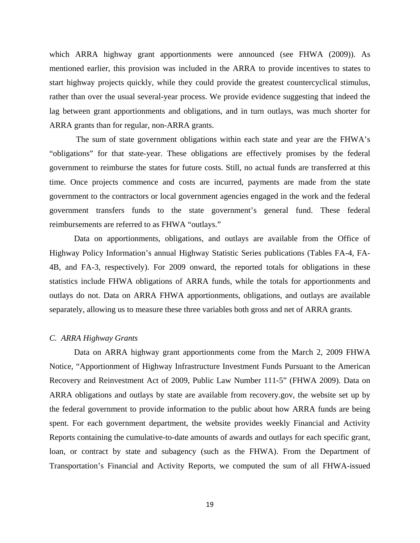which ARRA highway grant apportionments were announced (see FHWA (2009)). As mentioned earlier, this provision was included in the ARRA to provide incentives to states to start highway projects quickly, while they could provide the greatest countercyclical stimulus, rather than over the usual several-year process. We provide evidence suggesting that indeed the lag between grant apportionments and obligations, and in turn outlays, was much shorter for ARRA grants than for regular, non-ARRA grants.

 The sum of state government obligations within each state and year are the FHWA's "obligations" for that state-year. These obligations are effectively promises by the federal government to reimburse the states for future costs. Still, no actual funds are transferred at this time. Once projects commence and costs are incurred, payments are made from the state government to the contractors or local government agencies engaged in the work and the federal government transfers funds to the state government's general fund. These federal reimbursements are referred to as FHWA "outlays."

Data on apportionments, obligations, and outlays are available from the Office of Highway Policy Information's annual Highway Statistic Series publications (Tables FA-4, FA-4B, and FA-3, respectively). For 2009 onward, the reported totals for obligations in these statistics include FHWA obligations of ARRA funds, while the totals for apportionments and outlays do not. Data on ARRA FHWA apportionments, obligations, and outlays are available separately, allowing us to measure these three variables both gross and net of ARRA grants.

#### *C. ARRA Highway Grants*

Data on ARRA highway grant apportionments come from the March 2, 2009 FHWA Notice, "Apportionment of Highway Infrastructure Investment Funds Pursuant to the American Recovery and Reinvestment Act of 2009, Public Law Number 111-5" (FHWA 2009). Data on ARRA obligations and outlays by state are available from recovery.gov, the website set up by the federal government to provide information to the public about how ARRA funds are being spent. For each government department, the website provides weekly Financial and Activity Reports containing the cumulative-to-date amounts of awards and outlays for each specific grant, loan, or contract by state and subagency (such as the FHWA). From the Department of Transportation's Financial and Activity Reports, we computed the sum of all FHWA-issued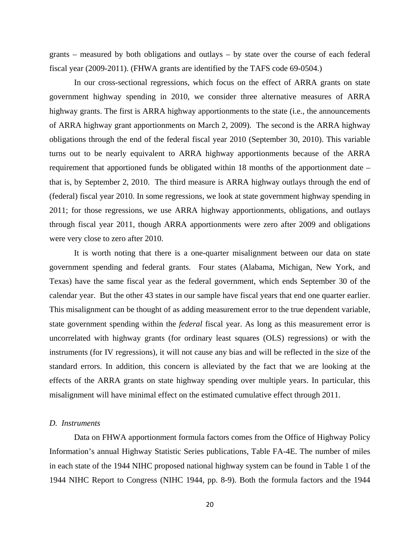grants – measured by both obligations and outlays – by state over the course of each federal fiscal year (2009-2011). (FHWA grants are identified by the TAFS code 69-0504.)

In our cross-sectional regressions, which focus on the effect of ARRA grants on state government highway spending in 2010, we consider three alternative measures of ARRA highway grants. The first is ARRA highway apportionments to the state (i.e., the announcements of ARRA highway grant apportionments on March 2, 2009). The second is the ARRA highway obligations through the end of the federal fiscal year 2010 (September 30, 2010). This variable turns out to be nearly equivalent to ARRA highway apportionments because of the ARRA requirement that apportioned funds be obligated within 18 months of the apportionment date – that is, by September 2, 2010. The third measure is ARRA highway outlays through the end of (federal) fiscal year 2010. In some regressions, we look at state government highway spending in 2011; for those regressions, we use ARRA highway apportionments, obligations, and outlays through fiscal year 2011, though ARRA apportionments were zero after 2009 and obligations were very close to zero after 2010.

It is worth noting that there is a one-quarter misalignment between our data on state government spending and federal grants. Four states (Alabama, Michigan, New York, and Texas) have the same fiscal year as the federal government, which ends September 30 of the calendar year. But the other 43 states in our sample have fiscal years that end one quarter earlier. This misalignment can be thought of as adding measurement error to the true dependent variable, state government spending within the *federal* fiscal year. As long as this measurement error is uncorrelated with highway grants (for ordinary least squares (OLS) regressions) or with the instruments (for IV regressions), it will not cause any bias and will be reflected in the size of the standard errors. In addition, this concern is alleviated by the fact that we are looking at the effects of the ARRA grants on state highway spending over multiple years. In particular, this misalignment will have minimal effect on the estimated cumulative effect through 2011.

### *D. Instruments*

 Data on FHWA apportionment formula factors comes from the Office of Highway Policy Information's annual Highway Statistic Series publications, Table FA-4E. The number of miles in each state of the 1944 NIHC proposed national highway system can be found in Table 1 of the 1944 NIHC Report to Congress (NIHC 1944, pp. 8-9). Both the formula factors and the 1944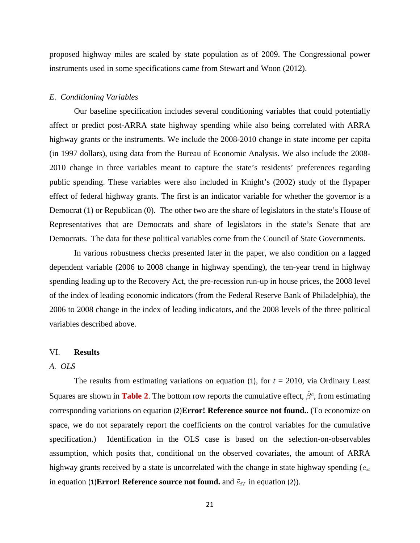proposed highway miles are scaled by state population as of 2009. The Congressional power instruments used in some specifications came from Stewart and Woon (2012).

### *E. Conditioning Variables*

 Our baseline specification includes several conditioning variables that could potentially affect or predict post-ARRA state highway spending while also being correlated with ARRA highway grants or the instruments. We include the 2008-2010 change in state income per capita (in 1997 dollars), using data from the Bureau of Economic Analysis. We also include the 2008- 2010 change in three variables meant to capture the state's residents' preferences regarding public spending. These variables were also included in Knight's (2002) study of the flypaper effect of federal highway grants. The first is an indicator variable for whether the governor is a Democrat (1) or Republican (0). The other two are the share of legislators in the state's House of Representatives that are Democrats and share of legislators in the state's Senate that are Democrats. The data for these political variables come from the Council of State Governments.

 In various robustness checks presented later in the paper, we also condition on a lagged dependent variable (2006 to 2008 change in highway spending), the ten-year trend in highway spending leading up to the Recovery Act, the pre-recession run-up in house prices, the 2008 level of the index of leading economic indicators (from the Federal Reserve Bank of Philadelphia), the 2006 to 2008 change in the index of leading indicators, and the 2008 levels of the three political variables described above.

### VI. **Results**

### *A. OLS*

The results from estimating variations on equation  $(1)$ , for  $t = 2010$ , via Ordinary Least Squares are shown in **Table 2**. The bottom row reports the cumulative effect,  $\hat{\beta}^c$ , from estimating corresponding variations on equation (2)**Error! Reference source not found.**. (To economize on space, we do not separately report the coefficients on the control variables for the cumulative specification.) Identification in the OLS case is based on the selection-on-observables assumption, which posits that, conditional on the observed covariates, the amount of ARRA highway grants received by a state is uncorrelated with the change in state highway spending  $(e_{it})$ in equation (1)**Error! Reference source not found.** and  $\tilde{e}_{iT}$  in equation (2)).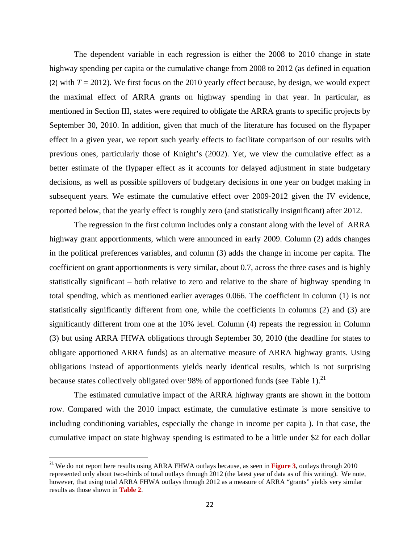The dependent variable in each regression is either the 2008 to 2010 change in state highway spending per capita or the cumulative change from 2008 to 2012 (as defined in equation (2) with  $T = 2012$ ). We first focus on the 2010 yearly effect because, by design, we would expect the maximal effect of ARRA grants on highway spending in that year. In particular, as mentioned in Section III, states were required to obligate the ARRA grants to specific projects by September 30, 2010. In addition, given that much of the literature has focused on the flypaper effect in a given year, we report such yearly effects to facilitate comparison of our results with previous ones, particularly those of Knight's (2002). Yet, we view the cumulative effect as a better estimate of the flypaper effect as it accounts for delayed adjustment in state budgetary decisions, as well as possible spillovers of budgetary decisions in one year on budget making in subsequent years. We estimate the cumulative effect over 2009-2012 given the IV evidence, reported below, that the yearly effect is roughly zero (and statistically insignificant) after 2012.

 The regression in the first column includes only a constant along with the level of ARRA highway grant apportionments, which were announced in early 2009. Column (2) adds changes in the political preferences variables, and column (3) adds the change in income per capita. The coefficient on grant apportionments is very similar, about 0.7, across the three cases and is highly statistically significant – both relative to zero and relative to the share of highway spending in total spending, which as mentioned earlier averages 0.066. The coefficient in column (1) is not statistically significantly different from one, while the coefficients in columns (2) and (3) are significantly different from one at the 10% level. Column (4) repeats the regression in Column (3) but using ARRA FHWA obligations through September 30, 2010 (the deadline for states to obligate apportioned ARRA funds) as an alternative measure of ARRA highway grants. Using obligations instead of apportionments yields nearly identical results, which is not surprising because states collectively obligated over 98% of apportioned funds (see Table 1).<sup>21</sup>

The estimated cumulative impact of the ARRA highway grants are shown in the bottom row. Compared with the 2010 impact estimate, the cumulative estimate is more sensitive to including conditioning variables, especially the change in income per capita ). In that case, the cumulative impact on state highway spending is estimated to be a little under \$2 for each dollar

<sup>21</sup> We do not report here results using ARRA FHWA outlays because, as seen in **Figure 3**, outlays through 2010 represented only about two-thirds of total outlays through 2012 (the latest year of data as of this writing). We note, however, that using total ARRA FHWA outlays through 2012 as a measure of ARRA "grants" yields very similar results as those shown in **Table 2**.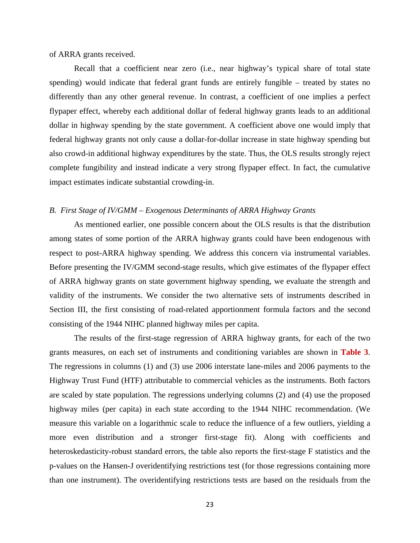of ARRA grants received.

Recall that a coefficient near zero (i.e., near highway's typical share of total state spending) would indicate that federal grant funds are entirely fungible – treated by states no differently than any other general revenue. In contrast, a coefficient of one implies a perfect flypaper effect, whereby each additional dollar of federal highway grants leads to an additional dollar in highway spending by the state government. A coefficient above one would imply that federal highway grants not only cause a dollar-for-dollar increase in state highway spending but also crowd-in additional highway expenditures by the state. Thus, the OLS results strongly reject complete fungibility and instead indicate a very strong flypaper effect. In fact, the cumulative impact estimates indicate substantial crowding-in.

#### *B. First Stage of IV/GMM – Exogenous Determinants of ARRA Highway Grants*

 As mentioned earlier, one possible concern about the OLS results is that the distribution among states of some portion of the ARRA highway grants could have been endogenous with respect to post-ARRA highway spending. We address this concern via instrumental variables. Before presenting the IV/GMM second-stage results, which give estimates of the flypaper effect of ARRA highway grants on state government highway spending, we evaluate the strength and validity of the instruments. We consider the two alternative sets of instruments described in Section III, the first consisting of road-related apportionment formula factors and the second consisting of the 1944 NIHC planned highway miles per capita.

The results of the first-stage regression of ARRA highway grants, for each of the two grants measures, on each set of instruments and conditioning variables are shown in **Table 3**. The regressions in columns (1) and (3) use 2006 interstate lane-miles and 2006 payments to the Highway Trust Fund (HTF) attributable to commercial vehicles as the instruments. Both factors are scaled by state population. The regressions underlying columns (2) and (4) use the proposed highway miles (per capita) in each state according to the 1944 NIHC recommendation. (We measure this variable on a logarithmic scale to reduce the influence of a few outliers, yielding a more even distribution and a stronger first-stage fit). Along with coefficients and heteroskedasticity-robust standard errors, the table also reports the first-stage F statistics and the p-values on the Hansen-J overidentifying restrictions test (for those regressions containing more than one instrument). The overidentifying restrictions tests are based on the residuals from the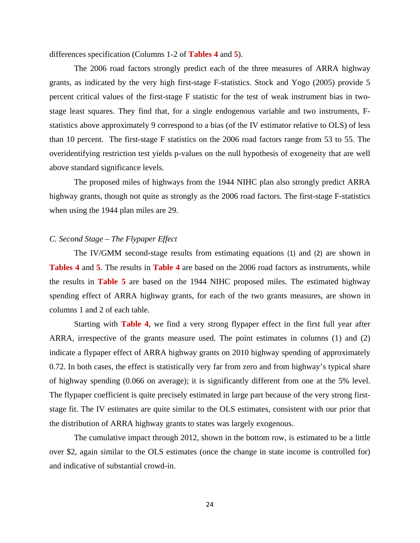differences specification (Columns 1-2 of **Tables 4** and **5**).

 The 2006 road factors strongly predict each of the three measures of ARRA highway grants, as indicated by the very high first-stage F-statistics. Stock and Yogo (2005) provide 5 percent critical values of the first-stage F statistic for the test of weak instrument bias in twostage least squares. They find that, for a single endogenous variable and two instruments, Fstatistics above approximately 9 correspond to a bias (of the IV estimator relative to OLS) of less than 10 percent. The first-stage F statistics on the 2006 road factors range from 53 to 55. The overidentifying restriction test yields p-values on the null hypothesis of exogeneity that are well above standard significance levels.

 The proposed miles of highways from the 1944 NIHC plan also strongly predict ARRA highway grants, though not quite as strongly as the 2006 road factors. The first-stage F-statistics when using the 1944 plan miles are 29.

### *C. Second Stage – The Flypaper Effect*

The IV/GMM second-stage results from estimating equations (1) and (2) are shown in **Tables 4** and **5**. The results in **Table 4** are based on the 2006 road factors as instruments, while the results in **Table 5** are based on the 1944 NIHC proposed miles. The estimated highway spending effect of ARRA highway grants, for each of the two grants measures, are shown in columns 1 and 2 of each table.

Starting with **Table 4**, we find a very strong flypaper effect in the first full year after ARRA, irrespective of the grants measure used. The point estimates in columns (1) and (2) indicate a flypaper effect of ARRA highway grants on 2010 highway spending of approximately 0.72. In both cases, the effect is statistically very far from zero and from highway's typical share of highway spending (0.066 on average); it is significantly different from one at the 5% level. The flypaper coefficient is quite precisely estimated in large part because of the very strong firststage fit. The IV estimates are quite similar to the OLS estimates, consistent with our prior that the distribution of ARRA highway grants to states was largely exogenous.

The cumulative impact through 2012, shown in the bottom row, is estimated to be a little over \$2, again similar to the OLS estimates (once the change in state income is controlled for) and indicative of substantial crowd-in.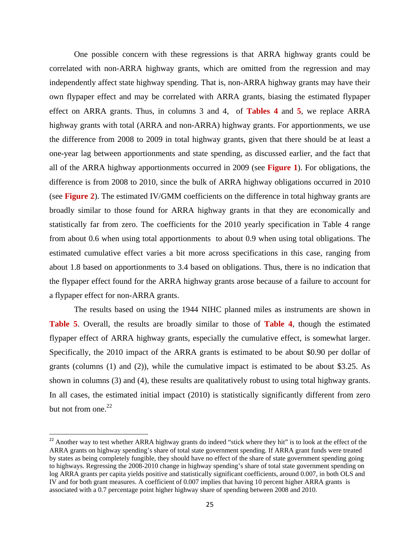One possible concern with these regressions is that ARRA highway grants could be correlated with non-ARRA highway grants, which are omitted from the regression and may independently affect state highway spending. That is, non-ARRA highway grants may have their own flypaper effect and may be correlated with ARRA grants, biasing the estimated flypaper effect on ARRA grants. Thus, in columns 3 and 4, of **Tables 4** and **5**, we replace ARRA highway grants with total (ARRA and non-ARRA) highway grants. For apportionments, we use the difference from 2008 to 2009 in total highway grants, given that there should be at least a one-year lag between apportionments and state spending, as discussed earlier, and the fact that all of the ARRA highway apportionments occurred in 2009 (see **Figure 1**). For obligations, the difference is from 2008 to 2010, since the bulk of ARRA highway obligations occurred in 2010 (see **Figure 2**). The estimated IV/GMM coefficients on the difference in total highway grants are broadly similar to those found for ARRA highway grants in that they are economically and statistically far from zero. The coefficients for the 2010 yearly specification in Table 4 range from about 0.6 when using total apportionments to about 0.9 when using total obligations. The estimated cumulative effect varies a bit more across specifications in this case, ranging from about 1.8 based on apportionments to 3.4 based on obligations. Thus, there is no indication that the flypaper effect found for the ARRA highway grants arose because of a failure to account for a flypaper effect for non-ARRA grants.

The results based on using the 1944 NIHC planned miles as instruments are shown in **Table 5**. Overall, the results are broadly similar to those of **Table 4**, though the estimated flypaper effect of ARRA highway grants, especially the cumulative effect, is somewhat larger. Specifically, the 2010 impact of the ARRA grants is estimated to be about \$0.90 per dollar of grants (columns (1) and (2)), while the cumulative impact is estimated to be about \$3.25. As shown in columns (3) and (4), these results are qualitatively robust to using total highway grants. In all cases, the estimated initial impact (2010) is statistically significantly different from zero but not from one. $^{22}$ 

 $22$  Another way to test whether ARRA highway grants do indeed "stick where they hit" is to look at the effect of the ARRA grants on highway spending's share of total state government spending. If ARRA grant funds were treated by states as being completely fungible, they should have no effect of the share of state government spending going to highways. Regressing the 2008-2010 change in highway spending's share of total state government spending on log ARRA grants per capita yields positive and statistically significant coefficients, around 0.007, in both OLS and IV and for both grant measures. A coefficient of 0.007 implies that having 10 percent higher ARRA grants is associated with a 0.7 percentage point higher highway share of spending between 2008 and 2010.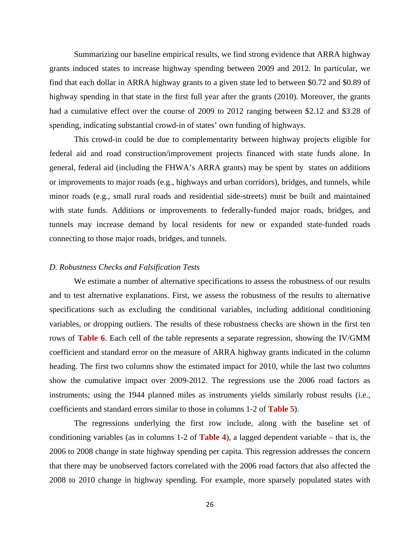Summarizing our baseline empirical results, we find strong evidence that ARRA highway grants induced states to increase highway spending between 2009 and 2012. In particular, we find that each dollar in ARRA highway grants to a given state led to between \$0.72 and \$0.89 of highway spending in that state in the first full year after the grants (2010). Moreover, the grants had a cumulative effect over the course of 2009 to 2012 ranging between \$2.12 and \$3.28 of spending, indicating substantial crowd-in of states' own funding of highways.

This crowd-in could be due to complementarity between highway projects eligible for federal aid and road construction/improvement projects financed with state funds alone. In general, federal aid (including the FHWA's ARRA grants) may be spent by states on additions or improvements to major roads (e.g., highways and urban corridors), bridges, and tunnels, while minor roads (e.g., small rural roads and residential side-streets) must be built and maintained with state funds. Additions or improvements to federally-funded major roads, bridges, and tunnels may increase demand by local residents for new or expanded state-funded roads connecting to those major roads, bridges, and tunnels.

### *D. Robustness Checks and Falsification Tests*

 We estimate a number of alternative specifications to assess the robustness of our results and to test alternative explanations. First, we assess the robustness of the results to alternative specifications such as excluding the conditional variables, including additional conditioning variables, or dropping outliers. The results of these robustness checks are shown in the first ten rows of **Table 6**. Each cell of the table represents a separate regression, showing the IV/GMM coefficient and standard error on the measure of ARRA highway grants indicated in the column heading. The first two columns show the estimated impact for 2010, while the last two columns show the cumulative impact over 2009-2012. The regressions use the 2006 road factors as instruments; using the 1944 planned miles as instruments yields similarly robust results (i.e., coefficients and standard errors similar to those in columns 1-2 of **Table 5**).

The regressions underlying the first row include, along with the baseline set of conditioning variables (as in columns 1-2 of **Table 4**), a lagged dependent variable – that is, the 2006 to 2008 change in state highway spending per capita. This regression addresses the concern that there may be unobserved factors correlated with the 2006 road factors that also affected the 2008 to 2010 change in highway spending. For example, more sparsely populated states with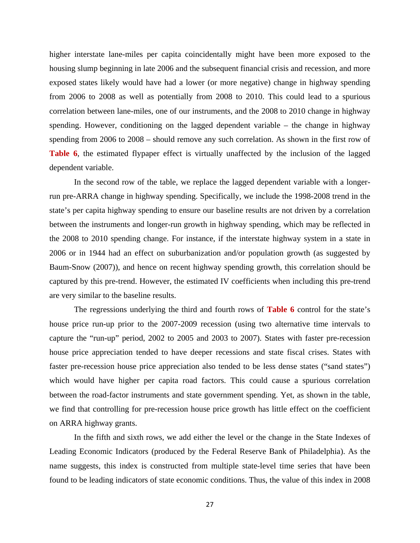higher interstate lane-miles per capita coincidentally might have been more exposed to the housing slump beginning in late 2006 and the subsequent financial crisis and recession, and more exposed states likely would have had a lower (or more negative) change in highway spending from 2006 to 2008 as well as potentially from 2008 to 2010. This could lead to a spurious correlation between lane-miles, one of our instruments, and the 2008 to 2010 change in highway spending. However, conditioning on the lagged dependent variable – the change in highway spending from 2006 to 2008 – should remove any such correlation. As shown in the first row of **Table 6**, the estimated flypaper effect is virtually unaffected by the inclusion of the lagged dependent variable.

In the second row of the table, we replace the lagged dependent variable with a longerrun pre-ARRA change in highway spending. Specifically, we include the 1998-2008 trend in the state's per capita highway spending to ensure our baseline results are not driven by a correlation between the instruments and longer-run growth in highway spending, which may be reflected in the 2008 to 2010 spending change. For instance, if the interstate highway system in a state in 2006 or in 1944 had an effect on suburbanization and/or population growth (as suggested by Baum-Snow (2007)), and hence on recent highway spending growth, this correlation should be captured by this pre-trend. However, the estimated IV coefficients when including this pre-trend are very similar to the baseline results.

The regressions underlying the third and fourth rows of **Table 6** control for the state's house price run-up prior to the 2007-2009 recession (using two alternative time intervals to capture the "run-up" period, 2002 to 2005 and 2003 to 2007). States with faster pre-recession house price appreciation tended to have deeper recessions and state fiscal crises. States with faster pre-recession house price appreciation also tended to be less dense states ("sand states") which would have higher per capita road factors. This could cause a spurious correlation between the road-factor instruments and state government spending. Yet, as shown in the table, we find that controlling for pre-recession house price growth has little effect on the coefficient on ARRA highway grants.

In the fifth and sixth rows, we add either the level or the change in the State Indexes of Leading Economic Indicators (produced by the Federal Reserve Bank of Philadelphia). As the name suggests, this index is constructed from multiple state-level time series that have been found to be leading indicators of state economic conditions. Thus, the value of this index in 2008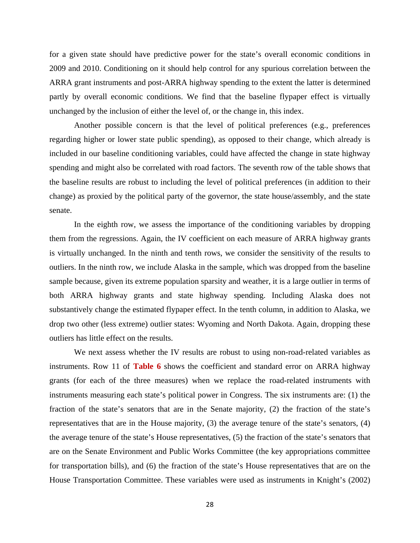for a given state should have predictive power for the state's overall economic conditions in 2009 and 2010. Conditioning on it should help control for any spurious correlation between the ARRA grant instruments and post-ARRA highway spending to the extent the latter is determined partly by overall economic conditions. We find that the baseline flypaper effect is virtually unchanged by the inclusion of either the level of, or the change in, this index.

Another possible concern is that the level of political preferences (e.g., preferences regarding higher or lower state public spending), as opposed to their change, which already is included in our baseline conditioning variables, could have affected the change in state highway spending and might also be correlated with road factors. The seventh row of the table shows that the baseline results are robust to including the level of political preferences (in addition to their change) as proxied by the political party of the governor, the state house/assembly, and the state senate.

 In the eighth row, we assess the importance of the conditioning variables by dropping them from the regressions. Again, the IV coefficient on each measure of ARRA highway grants is virtually unchanged. In the ninth and tenth rows, we consider the sensitivity of the results to outliers. In the ninth row, we include Alaska in the sample, which was dropped from the baseline sample because, given its extreme population sparsity and weather, it is a large outlier in terms of both ARRA highway grants and state highway spending. Including Alaska does not substantively change the estimated flypaper effect. In the tenth column, in addition to Alaska, we drop two other (less extreme) outlier states: Wyoming and North Dakota. Again, dropping these outliers has little effect on the results.

We next assess whether the IV results are robust to using non-road-related variables as instruments. Row 11 of **Table 6** shows the coefficient and standard error on ARRA highway grants (for each of the three measures) when we replace the road-related instruments with instruments measuring each state's political power in Congress. The six instruments are: (1) the fraction of the state's senators that are in the Senate majority, (2) the fraction of the state's representatives that are in the House majority, (3) the average tenure of the state's senators, (4) the average tenure of the state's House representatives, (5) the fraction of the state's senators that are on the Senate Environment and Public Works Committee (the key appropriations committee for transportation bills), and (6) the fraction of the state's House representatives that are on the House Transportation Committee. These variables were used as instruments in Knight's (2002)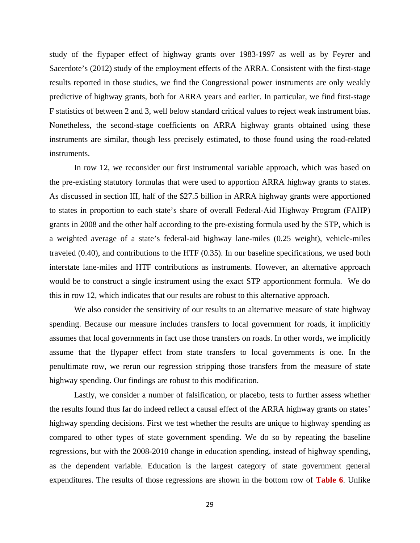study of the flypaper effect of highway grants over 1983-1997 as well as by Feyrer and Sacerdote's (2012) study of the employment effects of the ARRA. Consistent with the first-stage results reported in those studies, we find the Congressional power instruments are only weakly predictive of highway grants, both for ARRA years and earlier. In particular, we find first-stage F statistics of between 2 and 3, well below standard critical values to reject weak instrument bias. Nonetheless, the second-stage coefficients on ARRA highway grants obtained using these instruments are similar, though less precisely estimated, to those found using the road-related instruments.

In row 12, we reconsider our first instrumental variable approach, which was based on the pre-existing statutory formulas that were used to apportion ARRA highway grants to states. As discussed in section III, half of the \$27.5 billion in ARRA highway grants were apportioned to states in proportion to each state's share of overall Federal-Aid Highway Program (FAHP) grants in 2008 and the other half according to the pre-existing formula used by the STP, which is a weighted average of a state's federal-aid highway lane-miles (0.25 weight), vehicle-miles traveled (0.40), and contributions to the HTF (0.35). In our baseline specifications, we used both interstate lane-miles and HTF contributions as instruments. However, an alternative approach would be to construct a single instrument using the exact STP apportionment formula. We do this in row 12, which indicates that our results are robust to this alternative approach.

We also consider the sensitivity of our results to an alternative measure of state highway spending. Because our measure includes transfers to local government for roads, it implicitly assumes that local governments in fact use those transfers on roads. In other words, we implicitly assume that the flypaper effect from state transfers to local governments is one. In the penultimate row, we rerun our regression stripping those transfers from the measure of state highway spending. Our findings are robust to this modification.

Lastly, we consider a number of falsification, or placebo, tests to further assess whether the results found thus far do indeed reflect a causal effect of the ARRA highway grants on states' highway spending decisions. First we test whether the results are unique to highway spending as compared to other types of state government spending. We do so by repeating the baseline regressions, but with the 2008-2010 change in education spending, instead of highway spending, as the dependent variable. Education is the largest category of state government general expenditures. The results of those regressions are shown in the bottom row of **Table 6**. Unlike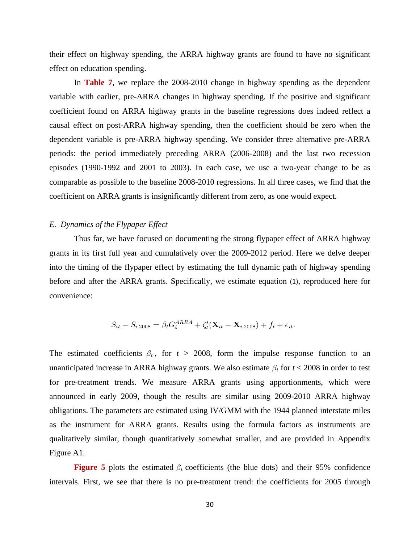their effect on highway spending, the ARRA highway grants are found to have no significant effect on education spending.

In **Table 7**, we replace the 2008-2010 change in highway spending as the dependent variable with earlier, pre-ARRA changes in highway spending. If the positive and significant coefficient found on ARRA highway grants in the baseline regressions does indeed reflect a causal effect on post-ARRA highway spending, then the coefficient should be zero when the dependent variable is pre-ARRA highway spending. We consider three alternative pre-ARRA periods: the period immediately preceding ARRA (2006-2008) and the last two recession episodes (1990-1992 and 2001 to 2003). In each case, we use a two-year change to be as comparable as possible to the baseline 2008-2010 regressions. In all three cases, we find that the coefficient on ARRA grants is insignificantly different from zero, as one would expect.

### *E. Dynamics of the Flypaper Effect*

 Thus far, we have focused on documenting the strong flypaper effect of ARRA highway grants in its first full year and cumulatively over the 2009-2012 period. Here we delve deeper into the timing of the flypaper effect by estimating the full dynamic path of highway spending before and after the ARRA grants. Specifically, we estimate equation (1), reproduced here for convenience:

$$
S_{it} - S_{i,2008} = \beta_t G_i^{ARRA} + \zeta'_t (\mathbf{X}_{it} - \mathbf{X}_{i,2008}) + f_t + e_{it}.
$$

The estimated coefficients  $\beta_t$ , for  $t > 2008$ , form the impulse response function to an unanticipated increase in ARRA highway grants. We also estimate  $\beta_t$  for  $t < 2008$  in order to test for pre-treatment trends. We measure ARRA grants using apportionments, which were announced in early 2009, though the results are similar using 2009-2010 ARRA highway obligations. The parameters are estimated using IV/GMM with the 1944 planned interstate miles as the instrument for ARRA grants. Results using the formula factors as instruments are qualitatively similar, though quantitatively somewhat smaller, and are provided in Appendix Figure A1.

**Figure 5** plots the estimated  $\beta_t$  coefficients (the blue dots) and their 95% confidence intervals. First, we see that there is no pre-treatment trend: the coefficients for 2005 through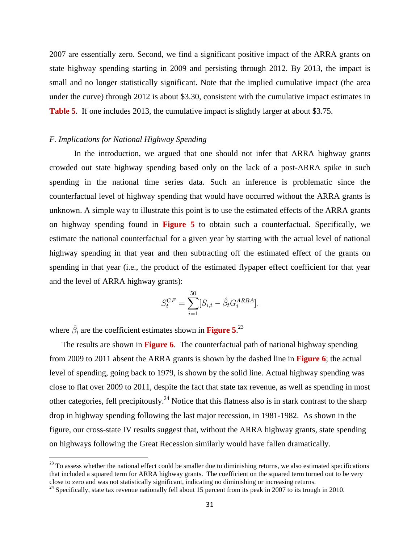2007 are essentially zero. Second, we find a significant positive impact of the ARRA grants on state highway spending starting in 2009 and persisting through 2012. By 2013, the impact is small and no longer statistically significant. Note that the implied cumulative impact (the area under the curve) through 2012 is about \$3.30, consistent with the cumulative impact estimates in **Table 5**. If one includes 2013, the cumulative impact is slightly larger at about \$3.75.

### *F. Implications for National Highway Spending*

 In the introduction, we argued that one should not infer that ARRA highway grants crowded out state highway spending based only on the lack of a post-ARRA spike in such spending in the national time series data. Such an inference is problematic since the counterfactual level of highway spending that would have occurred without the ARRA grants is unknown. A simple way to illustrate this point is to use the estimated effects of the ARRA grants on highway spending found in **Figure 5** to obtain such a counterfactual. Specifically, we estimate the national counterfactual for a given year by starting with the actual level of national highway spending in that year and then subtracting off the estimated effect of the grants on spending in that year (i.e., the product of the estimated flypaper effect coefficient for that year and the level of ARRA highway grants):

$$
S_t^{CF} = \sum_{i=1}^{50} [S_{i,t} - \hat{\beta}_t G_i^{ARRA}],
$$

where  $\hat{\beta}_t$  are the coefficient estimates shown in **Figure 5**.<sup>23</sup>

The results are shown in **Figure 6**. The counterfactual path of national highway spending from 2009 to 2011 absent the ARRA grants is shown by the dashed line in **Figure 6**; the actual level of spending, going back to 1979, is shown by the solid line. Actual highway spending was close to flat over 2009 to 2011, despite the fact that state tax revenue, as well as spending in most other categories, fell precipitously.<sup>24</sup> Notice that this flatness also is in stark contrast to the sharp drop in highway spending following the last major recession, in 1981-1982. As shown in the figure, our cross-state IV results suggest that, without the ARRA highway grants, state spending on highways following the Great Recession similarly would have fallen dramatically.

 $23$  To assess whether the national effect could be smaller due to diminishing returns, we also estimated specifications that included a squared term for ARRA highway grants. The coefficient on the squared term turned out to be very close to zero and was not statistically significant, indicating no diminishing or increasing returns. 24 Specifically, state tax revenue nationally fell about 15 percent from its peak in 2007 to its trough in 2010.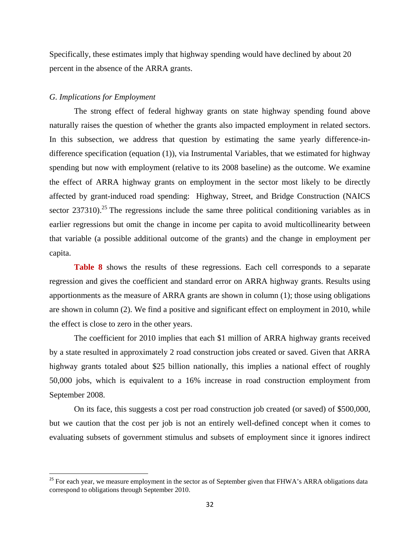Specifically, these estimates imply that highway spending would have declined by about 20 percent in the absence of the ARRA grants.

#### *G. Implications for Employment*

 The strong effect of federal highway grants on state highway spending found above naturally raises the question of whether the grants also impacted employment in related sectors. In this subsection, we address that question by estimating the same yearly difference-indifference specification (equation (1)), via Instrumental Variables, that we estimated for highway spending but now with employment (relative to its 2008 baseline) as the outcome. We examine the effect of ARRA highway grants on employment in the sector most likely to be directly affected by grant-induced road spending: Highway, Street, and Bridge Construction (NAICS sector  $237310$ .<sup>25</sup> The regressions include the same three political conditioning variables as in earlier regressions but omit the change in income per capita to avoid multicollinearity between that variable (a possible additional outcome of the grants) and the change in employment per capita.

**Table 8** shows the results of these regressions. Each cell corresponds to a separate regression and gives the coefficient and standard error on ARRA highway grants. Results using apportionments as the measure of ARRA grants are shown in column (1); those using obligations are shown in column (2). We find a positive and significant effect on employment in 2010, while the effect is close to zero in the other years.

The coefficient for 2010 implies that each \$1 million of ARRA highway grants received by a state resulted in approximately 2 road construction jobs created or saved. Given that ARRA highway grants totaled about \$25 billion nationally, this implies a national effect of roughly 50,000 jobs, which is equivalent to a 16% increase in road construction employment from September 2008.

On its face, this suggests a cost per road construction job created (or saved) of \$500,000, but we caution that the cost per job is not an entirely well-defined concept when it comes to evaluating subsets of government stimulus and subsets of employment since it ignores indirect

<sup>&</sup>lt;sup>25</sup> For each year, we measure employment in the sector as of September given that FHWA's ARRA obligations data correspond to obligations through September 2010.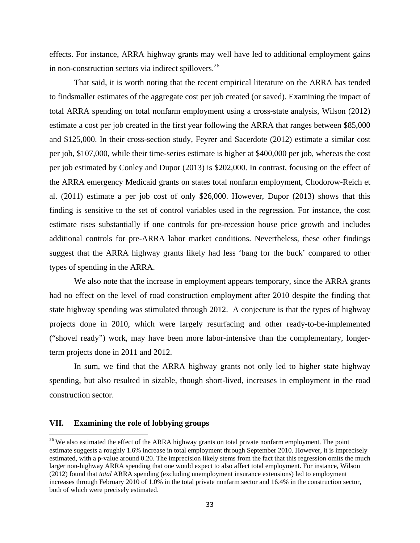effects. For instance, ARRA highway grants may well have led to additional employment gains in non-construction sectors via indirect spillovers. $^{26}$ 

That said, it is worth noting that the recent empirical literature on the ARRA has tended to findsmaller estimates of the aggregate cost per job created (or saved). Examining the impact of total ARRA spending on total nonfarm employment using a cross-state analysis, Wilson (2012) estimate a cost per job created in the first year following the ARRA that ranges between \$85,000 and \$125,000. In their cross-section study, Feyrer and Sacerdote (2012) estimate a similar cost per job, \$107,000, while their time-series estimate is higher at \$400,000 per job, whereas the cost per job estimated by Conley and Dupor (2013) is \$202,000. In contrast, focusing on the effect of the ARRA emergency Medicaid grants on states total nonfarm employment, Chodorow-Reich et al. (2011) estimate a per job cost of only \$26,000. However, Dupor (2013) shows that this finding is sensitive to the set of control variables used in the regression. For instance, the cost estimate rises substantially if one controls for pre-recession house price growth and includes additional controls for pre-ARRA labor market conditions. Nevertheless, these other findings suggest that the ARRA highway grants likely had less 'bang for the buck' compared to other types of spending in the ARRA.

We also note that the increase in employment appears temporary, since the ARRA grants had no effect on the level of road construction employment after 2010 despite the finding that state highway spending was stimulated through 2012. A conjecture is that the types of highway projects done in 2010, which were largely resurfacing and other ready-to-be-implemented ("shovel ready") work, may have been more labor-intensive than the complementary, longerterm projects done in 2011 and 2012.

In sum, we find that the ARRA highway grants not only led to higher state highway spending, but also resulted in sizable, though short-lived, increases in employment in the road construction sector.

### **VII. Examining the role of lobbying groups**

<sup>&</sup>lt;sup>26</sup> We also estimated the effect of the ARRA highway grants on total private nonfarm employment. The point estimate suggests a roughly 1.6% increase in total employment through September 2010. However, it is imprecisely estimated, with a p-value around 0.20. The imprecision likely stems from the fact that this regression omits the much larger non-highway ARRA spending that one would expect to also affect total employment. For instance, Wilson (2012) found that *total* ARRA spending (excluding unemployment insurance extensions) led to employment increases through February 2010 of 1.0% in the total private nonfarm sector and 16.4% in the construction sector, both of which were precisely estimated.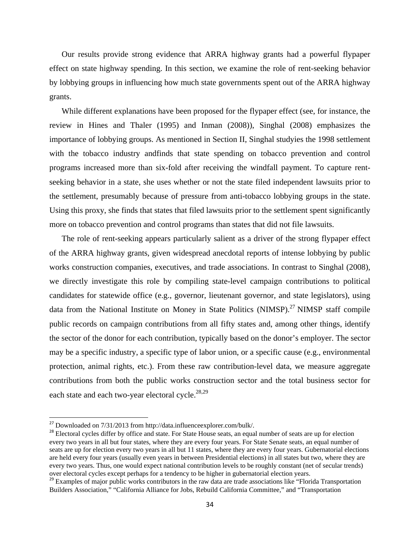Our results provide strong evidence that ARRA highway grants had a powerful flypaper effect on state highway spending. In this section, we examine the role of rent-seeking behavior by lobbying groups in influencing how much state governments spent out of the ARRA highway grants.

While different explanations have been proposed for the flypaper effect (see, for instance, the review in Hines and Thaler (1995) and Inman (2008)), Singhal (2008) emphasizes the importance of lobbying groups. As mentioned in Section II, Singhal studyies the 1998 settlement with the tobacco industry andfinds that state spending on tobacco prevention and control programs increased more than six-fold after receiving the windfall payment. To capture rentseeking behavior in a state, she uses whether or not the state filed independent lawsuits prior to the settlement, presumably because of pressure from anti-tobacco lobbying groups in the state. Using this proxy, she finds that states that filed lawsuits prior to the settlement spent significantly more on tobacco prevention and control programs than states that did not file lawsuits.

The role of rent-seeking appears particularly salient as a driver of the strong flypaper effect of the ARRA highway grants, given widespread anecdotal reports of intense lobbying by public works construction companies, executives, and trade associations. In contrast to Singhal (2008), we directly investigate this role by compiling state-level campaign contributions to political candidates for statewide office (e.g., governor, lieutenant governor, and state legislators), using data from the National Institute on Money in State Politics (NIMSP).<sup>27</sup> NIMSP staff compile public records on campaign contributions from all fifty states and, among other things, identify the sector of the donor for each contribution, typically based on the donor's employer. The sector may be a specific industry, a specific type of labor union, or a specific cause (e.g., environmental protection, animal rights, etc.). From these raw contribution-level data, we measure aggregate contributions from both the public works construction sector and the total business sector for each state and each two-year electoral cycle.<sup>28,29</sup>

<sup>&</sup>lt;sup>27</sup> Downloaded on  $7/31/2013$  from http://data.influenceexplorer.com/bulk/.

<sup>&</sup>lt;sup>28</sup> Electoral cycles differ by office and state. For State House seats, an equal number of seats are up for election every two years in all but four states, where they are every four years. For State Senate seats, an equal number of seats are up for election every two years in all but 11 states, where they are every four years. Gubernatorial elections are held every four years (usually even years in between Presidential elections) in all states but two, where they are every two years. Thus, one would expect national contribution levels to be roughly constant (net of secular trends) over electoral cycles except perhaps for a tendency to be higher in gubernatorial election years.

<sup>&</sup>lt;sup>29</sup> Examples of major public works contributors in the raw data are trade associations like "Florida Transportation Builders Association," "California Alliance for Jobs, Rebuild California Committee," and "Transportation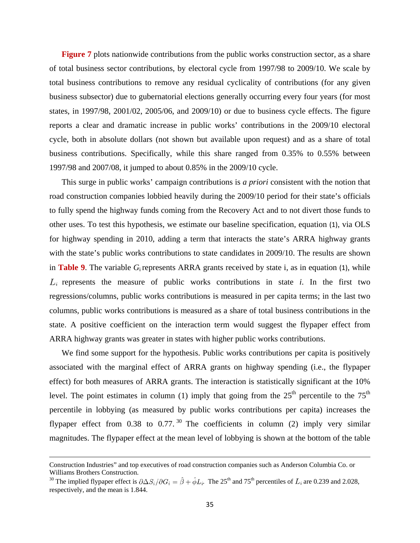**Figure 7** plots nationwide contributions from the public works construction sector, as a share of total business sector contributions, by electoral cycle from 1997/98 to 2009/10. We scale by total business contributions to remove any residual cyclicality of contributions (for any given business subsector) due to gubernatorial elections generally occurring every four years (for most states, in 1997/98, 2001/02, 2005/06, and 2009/10) or due to business cycle effects. The figure reports a clear and dramatic increase in public works' contributions in the 2009/10 electoral cycle, both in absolute dollars (not shown but available upon request) and as a share of total business contributions. Specifically, while this share ranged from 0.35% to 0.55% between 1997/98 and 2007/08, it jumped to about 0.85% in the 2009/10 cycle.

This surge in public works' campaign contributions is *a priori* consistent with the notion that road construction companies lobbied heavily during the 2009/10 period for their state's officials to fully spend the highway funds coming from the Recovery Act and to not divert those funds to other uses. To test this hypothesis, we estimate our baseline specification, equation (1), via OLS for highway spending in 2010, adding a term that interacts the state's ARRA highway grants with the state's public works contributions to state candidates in 2009/10. The results are shown in **Table 9**. The variable *G*<sub>i</sub> represents ARRA grants received by state i, as in equation (1), while  $L_i$  represents the measure of public works contributions in state  $i$ . In the first two regressions/columns, public works contributions is measured in per capita terms; in the last two columns, public works contributions is measured as a share of total business contributions in the state. A positive coefficient on the interaction term would suggest the flypaper effect from ARRA highway grants was greater in states with higher public works contributions.

We find some support for the hypothesis. Public works contributions per capita is positively associated with the marginal effect of ARRA grants on highway spending (i.e., the flypaper effect) for both measures of ARRA grants. The interaction is statistically significant at the 10% level. The point estimates in column (1) imply that going from the  $25<sup>th</sup>$  percentile to the  $75<sup>th</sup>$ percentile in lobbying (as measured by public works contributions per capita) increases the flypaper effect from 0.38 to 0.77.<sup>30</sup> The coefficients in column (2) imply very similar magnitudes. The flypaper effect at the mean level of lobbying is shown at the bottom of the table

<u> 1989 - Johann Stein, marwolaethau a gweledydd a ganlad y ganlad y ganlad y ganlad y ganlad y ganlad y ganlad</u>

Construction Industries" and top executives of road construction companies such as Anderson Columbia Co. or Williams Brothers Construction.

<sup>&</sup>lt;sup>30</sup> The implied flypaper effect is  $\partial \Delta S_i/\partial G_i = \hat{\beta} + \hat{\phi}L_i$ . The 25<sup>th</sup> and 75<sup>th</sup> percentiles of  $L_i$  are 0.239 and 2.028, respectively, and the mean is 1.844.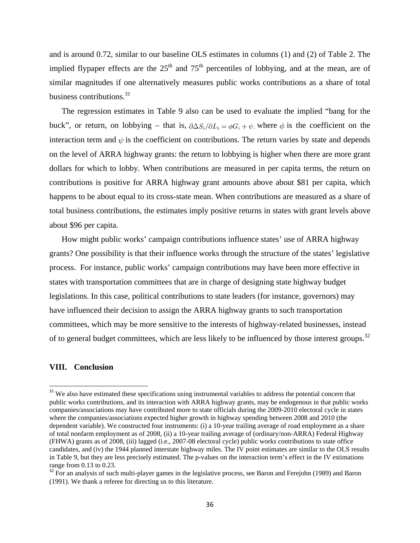and is around 0.72, similar to our baseline OLS estimates in columns (1) and (2) of Table 2. The implied flypaper effects are the  $25<sup>th</sup>$  and  $75<sup>th</sup>$  percentiles of lobbying, and at the mean, are of similar magnitudes if one alternatively measures public works contributions as a share of total business contributions. $31$ 

The regression estimates in Table 9 also can be used to evaluate the implied "bang for the buck", or return, on lobbying – that is,  $\partial \Delta S_i/\partial L_i = \phi G_i + \psi$ , where  $\phi$  is the coefficient on the interaction term and  $\psi$  is the coefficient on contributions. The return varies by state and depends on the level of ARRA highway grants: the return to lobbying is higher when there are more grant dollars for which to lobby. When contributions are measured in per capita terms, the return on contributions is positive for ARRA highway grant amounts above about \$81 per capita, which happens to be about equal to its cross-state mean. When contributions are measured as a share of total business contributions, the estimates imply positive returns in states with grant levels above about \$96 per capita.

How might public works' campaign contributions influence states' use of ARRA highway grants? One possibility is that their influence works through the structure of the states' legislative process. For instance, public works' campaign contributions may have been more effective in states with transportation committees that are in charge of designing state highway budget legislations. In this case, political contributions to state leaders (for instance, governors) may have influenced their decision to assign the ARRA highway grants to such transportation committees, which may be more sensitive to the interests of highway-related businesses, instead of to general budget committees, which are less likely to be influenced by those interest groups.<sup>32</sup>

### **VIII. Conclusion**

 $31$  We also have estimated these specifications using instrumental variables to address the potential concern that public works contributions, and its interaction with ARRA highway grants, may be endogenous in that public works companies/associations may have contributed more to state officials during the 2009-2010 electoral cycle in states where the companies/associations expected higher growth in highway spending between 2008 and 2010 (the dependent variable). We constructed four instruments: (i) a 10-year trailing average of road employment as a share of total nonfarm employment as of 2008, (ii) a 10-year trailing average of (ordinary/non-ARRA) Federal Highway (FHWA) grants as of 2008, (iii) lagged (i.e., 2007-08 electoral cycle) public works contributions to state office candidates, and (iv) the 1944 planned interstate highway miles. The IV point estimates are similar to the OLS results in Table 9, but they are less precisely estimated. The p-values on the interaction term's effect in the IV estimations range from 0.13 to 0.23.

<sup>&</sup>lt;sup>32</sup> For an analysis of such multi-player games in the legislative process, see Baron and Ferejohn (1989) and Baron (1991). We thank a referee for directing us to this literature.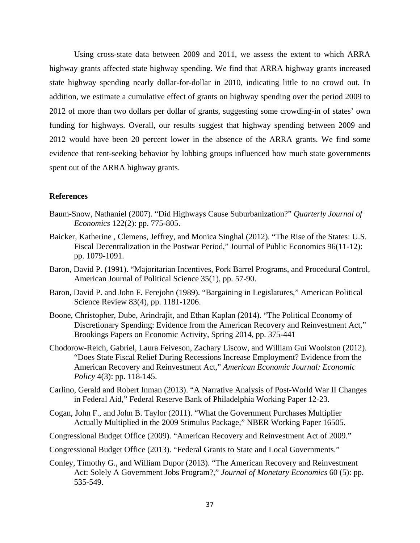Using cross-state data between 2009 and 2011, we assess the extent to which ARRA highway grants affected state highway spending. We find that ARRA highway grants increased state highway spending nearly dollar-for-dollar in 2010, indicating little to no crowd out. In addition, we estimate a cumulative effect of grants on highway spending over the period 2009 to 2012 of more than two dollars per dollar of grants, suggesting some crowding-in of states' own funding for highways. Overall, our results suggest that highway spending between 2009 and 2012 would have been 20 percent lower in the absence of the ARRA grants. We find some evidence that rent-seeking behavior by lobbing groups influenced how much state governments spent out of the ARRA highway grants.

### **References**

- Baum-Snow, Nathaniel (2007). "Did Highways Cause Suburbanization?" *Quarterly Journal of Economics* 122(2): pp. 775-805.
- Baicker, Katherine , Clemens, Jeffrey, and Monica Singhal (2012). "The Rise of the States: U.S. Fiscal Decentralization in the Postwar Period," Journal of Public Economics 96(11-12): pp. 1079-1091.
- Baron, David P. (1991). "Majoritarian Incentives, Pork Barrel Programs, and Procedural Control, American Journal of Political Science 35(1), pp. 57-90.
- Baron, David P. and John F. Ferejohn (1989). "Bargaining in Legislatures," American Political Science Review 83(4), pp. 1181-1206.
- Boone, Christopher, Dube, Arindrajit, and Ethan Kaplan (2014). "The Political Economy of Discretionary Spending: Evidence from the American Recovery and Reinvestment Act," Brookings Papers on Economic Activity, Spring 2014, pp. 375-441
- Chodorow-Reich, Gabriel, Laura Feiveson, Zachary Liscow, and William Gui Woolston (2012). "Does State Fiscal Relief During Recessions Increase Employment? Evidence from the American Recovery and Reinvestment Act," *American Economic Journal: Economic Policy* 4(3): pp. 118-145.
- Carlino, Gerald and Robert Inman (2013). "A Narrative Analysis of Post-World War II Changes in Federal Aid," Federal Reserve Bank of Philadelphia Working Paper 12-23.
- Cogan, John F., and John B. Taylor (2011). "What the Government Purchases Multiplier Actually Multiplied in the 2009 Stimulus Package," NBER Working Paper 16505.
- Congressional Budget Office (2009). "American Recovery and Reinvestment Act of 2009."
- Congressional Budget Office (2013). "Federal Grants to State and Local Governments."
- Conley, Timothy G., and William Dupor (2013). "The American Recovery and Reinvestment Act: Solely A Government Jobs Program?," *Journal of Monetary Economics* 60 (5): pp. 535-549.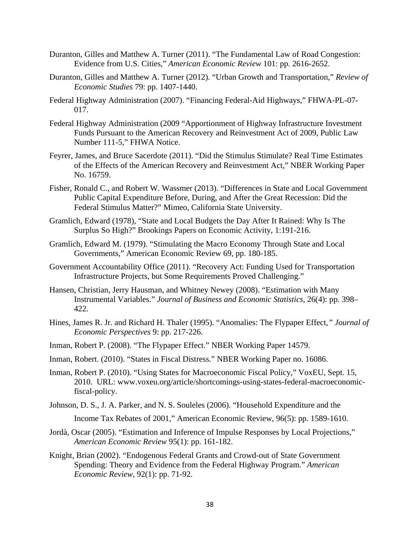- Duranton, Gilles and Matthew A. Turner (2011). "The Fundamental Law of Road Congestion: Evidence from U.S. Cities," *American Economic Review* 101: pp. 2616-2652.
- Duranton, Gilles and Matthew A. Turner (2012). "Urban Growth and Transportation," *Review of Economic Studies* 79: pp. 1407-1440.
- Federal Highway Administration (2007). "Financing Federal-Aid Highways," FHWA-PL-07- 017.
- Federal Highway Administration (2009 "Apportionment of Highway Infrastructure Investment Funds Pursuant to the American Recovery and Reinvestment Act of 2009, Public Law Number 111-5," FHWA Notice.
- Feyrer, James, and Bruce Sacerdote (2011). "Did the Stimulus Stimulate? Real Time Estimates of the Effects of the American Recovery and Reinvestment Act," NBER Working Paper No. 16759.
- Fisher, Ronald C., and Robert W. Wassmer (2013). "Differences in State and Local Government Public Capital Expenditure Before, During, and After the Great Recession: Did the Federal Stimulus Matter?" Mimeo, California State University.
- Gramlich, Edward (1978), "State and Local Budgets the Day After It Rained: Why Is The Surplus So High?" Brookings Papers on Economic Activity, 1:191-216.
- Gramlich, Edward M. (1979). "Stimulating the Macro Economy Through State and Local Governments," American Economic Review 69, pp. 180-185.
- Government Accountability Office (2011). "Recovery Act: Funding Used for Transportation Infrastructure Projects, but Some Requirements Proved Challenging."
- Hansen, Christian, Jerry Hausman, and Whitney Newey (2008). "Estimation with Many Instrumental Variables." *Journal of Business and Economic Statistics*, 26(4): pp. 398– 422.
- Hines, James R. Jr. and Richard H. Thaler (1995). "Anomalies: The Flypaper Effect*," Journal of Economic Perspectives* 9: pp. 217-226.
- Inman, Robert P. (2008). "The Flypaper Effect." NBER Working Paper 14579.
- Inman, Robert. (2010). "States in Fiscal Distress." NBER Working Paper no. 16086.
- Inman, Robert P. (2010). "Using States for Macroeconomic Fiscal Policy," VoxEU, Sept. 15, 2010. URL: www.voxeu.org/article/shortcomings-using-states-federal-macroeconomicfiscal-policy.
- Johnson, D. S., J. A. Parker, and N. S. Souleles (2006). "Household Expenditure and the Income Tax Rebates of 2001," American Economic Review, 96(5): pp. 1589-1610.
- Jordà, Oscar (2005). "Estimation and Inference of Impulse Responses by Local Projections," *American Economic Review* 95(1): pp. 161-182.
- Knight, Brian (2002). "Endogenous Federal Grants and Crowd-out of State Government Spending: Theory and Evidence from the Federal Highway Program." *American Economic Review*, 92(1): pp. 71-92.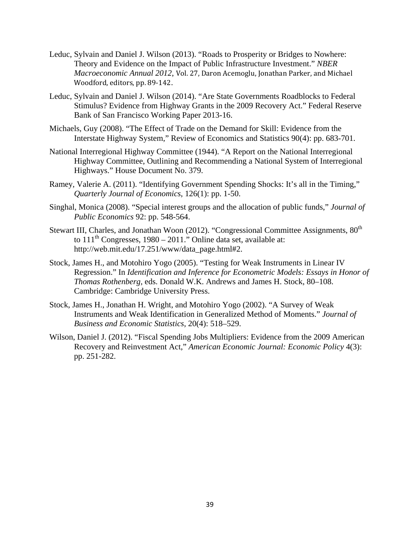- Leduc, Sylvain and Daniel J. Wilson (2013). "Roads to Prosperity or Bridges to Nowhere: Theory and Evidence on the Impact of Public Infrastructure Investment." *NBER Macroeconomic Annual 2012*, Vol. 27, Daron Acemoglu, Jonathan Parker, and Michael Woodford, editors, pp. 89-142.
- Leduc, Sylvain and Daniel J. Wilson (2014). "Are State Governments Roadblocks to Federal Stimulus? Evidence from Highway Grants in the 2009 Recovery Act." Federal Reserve Bank of San Francisco Working Paper 2013-16.
- Michaels, Guy (2008). "The Effect of Trade on the Demand for Skill: Evidence from the Interstate Highway System," Review of Economics and Statistics 90(4): pp. 683-701.
- National Interregional Highway Committee (1944). "A Report on the National Interregional Highway Committee, Outlining and Recommending a National System of Interregional Highways." House Document No. 379.
- Ramey, Valerie A. (2011). "Identifying Government Spending Shocks: It's all in the Timing," *Quarterly Journal of Economics*, 126(1): pp. 1-50.
- Singhal, Monica (2008). "Special interest groups and the allocation of public funds," *Journal of Public Economics* 92: pp. 548-564.
- Stewart III, Charles, and Jonathan Woon (2012). "Congressional Committee Assignments, 80<sup>th</sup> to  $111<sup>th</sup>$  Congresses, 1980 – 2011." Online data set, available at: http://web.mit.edu/17.251/www/data\_page.html#2.
- Stock, James H., and Motohiro Yogo (2005). "Testing for Weak Instruments in Linear IV Regression." In *Identification and Inference for Econometric Models: Essays in Honor of Thomas Rothenberg,* eds. Donald W.K. Andrews and James H. Stock, 80–108. Cambridge: Cambridge University Press.
- Stock, James H., Jonathan H. Wright, and Motohiro Yogo (2002). "A Survey of Weak Instruments and Weak Identification in Generalized Method of Moments." *Journal of Business and Economic Statistics*, 20(4): 518–529.
- Wilson, Daniel J. (2012). "Fiscal Spending Jobs Multipliers: Evidence from the 2009 American Recovery and Reinvestment Act," *American Economic Journal: Economic Policy* 4(3): pp. 251-282.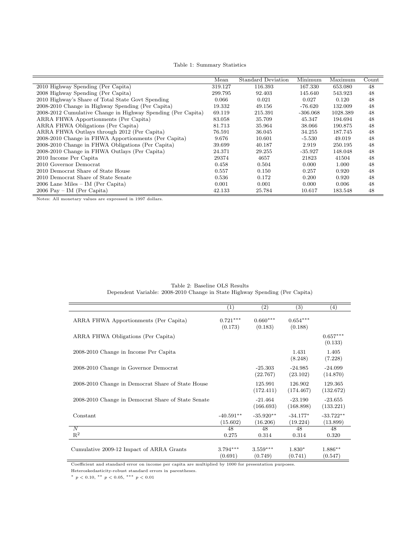|  |  | Table 1: Summary Statistics |  |
|--|--|-----------------------------|--|
|--|--|-----------------------------|--|

|                                                              | Mean    | <b>Standard Deviation</b> | Minimum    | Maximum  | Count |
|--------------------------------------------------------------|---------|---------------------------|------------|----------|-------|
| 2010 Highway Spending (Per Capita)                           | 319.127 | 116.393                   | 167.330    | 653.080  | 48    |
| 2008 Highway Spending (Per Capita)                           | 299.795 | 92.403                    | 145.640    | 543.923  | 48    |
| 2010 Highway's Share of Total State Govt Spending            | 0.066   | 0.021                     | 0.027      | 0.120    | 48    |
| 2008-2010 Change in Highway Spending (Per Capita)            | 19.332  | 49.156                    | -76.620    | 132.009  | 48    |
| 2008-2012 Cumulative Change in Highway Spending (Per Capita) | 69.119  | 215.391                   | $-306.068$ | 1028.389 | 48    |
| ARRA FHWA Apportionments (Per Capita)                        | 83.058  | 35.709                    | 45.347     | 194.694  | 48    |
| ARRA FHWA Obligations (Per Capita)                           | 81.713  | 35.964                    | 38.066     | 190.875  | 48    |
| ARRA FHWA Outlays through 2012 (Per Capita)                  | 76.591  | 36.045                    | 34.255     | 187.745  | 48    |
| 2008-2010 Change in FHWA Apportionments (Per Capita)         | 9.676   | 10.601                    | $-5.530$   | 49.019   | 48    |
| 2008-2010 Change in FHWA Obligations (Per Capita)            | 39.699  | 40.187                    | 2.919      | 250.195  | 48    |
| 2008-2010 Change in FHWA Outlays (Per Capita)                | 24.371  | 29.255                    | $-35.927$  | 148.048  | 48    |
| 2010 Income Per Capita                                       | 29374   | 4657                      | 21823      | 41504    | 48    |
| 2010 Governor Democrat                                       | 0.458   | 0.504                     | 0.000      | 1.000    | 48    |
| 2010 Democrat Share of State House                           | 0.557   | 0.150                     | 0.257      | 0.920    | 48    |
| 2010 Democrat Share of State Senate                          | 0.536   | 0.172                     | 0.200      | 0.920    | 48    |
| $2006$ Lane Miles – IM (Per Capita)                          | 0.001   | 0.001                     | 0.000      | 0.006    | 48    |
| $2006 \text{ Pay} - \text{IM}$ (Per Capita)                  | 42.133  | 25.784                    | 10.617     | 183.548  | 48    |

Notes: All monetary values are expressed in 1997 dollars.

| belongen (armore, bood bord change in gaate rights politing (r or capital) |                         |                         |                        |                         |
|----------------------------------------------------------------------------|-------------------------|-------------------------|------------------------|-------------------------|
|                                                                            | (1)                     | $\left( 2\right)$       | (3)                    | $\left( 4\right)$       |
| ARRA FHWA Apportionments (Per Capita)                                      | $0.721***$<br>(0.173)   | $0.660***$<br>(0.183)   | $0.654***$<br>(0.188)  |                         |
| ARRA FHWA Obligations (Per Capita)                                         |                         |                         |                        | $0.657***$<br>(0.133)   |
| 2008-2010 Change in Income Per Capita                                      |                         |                         | 1.431<br>(8.248)       | 1.405<br>(7.228)        |
| 2008-2010 Change in Governor Democrat                                      |                         | $-25.303$<br>(22.767)   | $-24.985$<br>(23.102)  | $-24.099$<br>(14.870)   |
| 2008-2010 Change in Democrat Share of State House                          |                         | 125.991<br>(172.411)    | 126.902<br>(174.467)   | 129.365<br>(132.672)    |
| 2008-2010 Change in Democrat Share of State Senate                         |                         | $-21.464$<br>(166.693)  | $-23.190$<br>(168.898) | $-23.655$<br>(133.221)  |
| Constant                                                                   | $-40.591**$<br>(15.602) | $-35.920**$<br>(16.206) | $-34.177*$<br>(19.224) | $-33.722**$<br>(13.899) |
| $\overline{N}$                                                             | 48                      | 48                      | 48                     | 48                      |
| $\mathbf{R}^2$                                                             | 0.275                   | 0.314                   | 0.314                  | 0.320                   |
| Cumulative 2009-12 Impact of ARRA Grants                                   | $3.794***$<br>(0.691)   | $3.559***$<br>(0.749)   | 1.830*<br>(0.741)      | $1.886**$<br>(0.547)    |

Table 2: Baseline OLS Results Dependent Variable: 2008-2010 Change in State Highway Spending (Per Capita)

Coefficient and standard error on income per capita are multiplied by 1000 for presentation purposes.

Heteroskedasticity-robust standard errors in parentheses.<br>\*  $p < 0.10$ , \*\*  $p < 0.05$ , \*\*\*  $p < 0.01$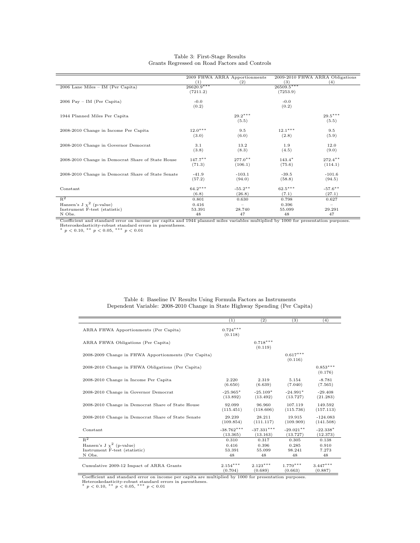| Table 3: First-Stage Results                  |
|-----------------------------------------------|
| Grants Regressed on Road Factors and Controls |

|                                                    |              | 2009 FHWA ARRA Apportionments |              | 2009-2010 FHWA ARRA Obligations |
|----------------------------------------------------|--------------|-------------------------------|--------------|---------------------------------|
|                                                    | (1)          | (2)                           | (3)          | (4)                             |
| $2006$ Lane Miles - IM (Per Capita)                | $26620.9***$ |                               | $26509.5***$ |                                 |
|                                                    | (7211.2)     |                               | (7253.9)     |                                 |
|                                                    |              |                               |              |                                 |
| $2006$ Pay - IM (Per Capita)                       | $-0.0$       |                               | $-0.0$       |                                 |
|                                                    | (0.2)        |                               | (0.2)        |                                 |
| 1944 Planned Miles Per Capita                      |              | $29.2***$                     |              | $29.5***$                       |
|                                                    |              | (5.5)                         |              | (5.5)                           |
|                                                    |              |                               |              |                                 |
| 2008-2010 Change in Income Per Capita              | $12.0***$    | 9.5                           | $12.1***$    | 9.5                             |
|                                                    | (3.0)        | (6.0)                         | (2.8)        | (5.9)                           |
|                                                    |              |                               |              |                                 |
| 2008-2010 Change in Governor Democrat              | 3.1          | 13.2                          | 1.9          | 12.0                            |
|                                                    | (3.8)        | (8.3)                         | (4.5)        | (9.0)                           |
|                                                    |              |                               |              |                                 |
| 2008-2010 Change in Democrat Share of State House  | $147.7***$   | $277.0**$                     | $143.4*$     | $272.4***$                      |
|                                                    | (71.3)       | (106.1)                       | (75.6)       | (114.1)                         |
| 2008-2010 Change in Democrat Share of State Senate | $-41.9$      | $-103.1$                      | $-39.5$      | $-101.6$                        |
|                                                    | (57.2)       | (94.0)                        | (58.8)       | (94.5)                          |
|                                                    |              |                               |              |                                 |
| Constant                                           | $64.2***$    | $-55.2$ **                    | $62.5***$    | $-57.6$ **                      |
|                                                    | (6.8)        | (26.8)                        | (7.1)        | (27.1)                          |
| $R^2$                                              | 0.801        | 0.630                         | 0.798        | 0.627                           |
| Hansen's J $\chi^2$ (p-value)                      | 0.416        |                               | 0.396        |                                 |
| Instrument F-test (statistic)                      | 53.391       | 28.740                        | 55.099       | 29.291                          |
| N Obs.                                             | 48           | 47                            | 48           | 47                              |

Coefficient and standard error on income per capita and 1944 planned miles variables multiplied by 1000 for presentation purposes.<br>Heteroskedasticity-robust standard errors in parentheses.<br>\* p < 0.10, \*\* p < 0.05, \*\*\* p <

|                                                      | (1)                      | (2)                      | (3)                     | (4)                     |
|------------------------------------------------------|--------------------------|--------------------------|-------------------------|-------------------------|
| ARRA FHWA Apportionments (Per Capita)                | $0.724***$<br>(0.118)    |                          |                         |                         |
| ARRA FHWA Obligations (Per Capita)                   |                          | $0.718***$<br>(0.119)    |                         |                         |
| 2008-2009 Change in FHWA Apportionments (Per Capita) |                          |                          | $0.617***$<br>(0.116)   |                         |
| 2008-2010 Change in FHWA Obligations (Per Capita)    |                          |                          |                         | $0.853***$<br>(0.176)   |
| 2008-2010 Change in Income Per Capita                | 2.220<br>(6.650)         | 2.319<br>(6.639)         | 5.154<br>(7.040)        | $-8.781$<br>(7.565)     |
| 2008-2010 Change in Governor Democrat                | $-25.965*$<br>(13.892)   | $-25.109*$<br>(13.492)   | $-24.991*$<br>(13.727)  | $-29.408$<br>(21.283)   |
| 2008-2010 Change in Democrat Share of State House    | 92.099<br>(115.451)      | 96.960<br>(118.606)      | 107.119<br>(115.736)    | 149.592<br>(157.113)    |
| 2008-2010 Change in Democrat Share of State Senate   | 29.239<br>(109.854)      | 28.211<br>(111.117)      | 19.915<br>(109.909)     | $-124.083$<br>(141.508) |
| Constant                                             | $-38.762***$<br>(13.365) | $-37.331***$<br>(13.163) | $-29.021**$<br>(13.727) | $-22.338*$<br>(12.373)  |
| $R^2$                                                | 0.310                    | 0.317                    | 0.305                   | 0.138                   |
| Hansen's J $\chi^2$ (p-value)                        | 0.416                    | 0.396                    | 0.285                   | 0.910                   |
| Instrument F-test (statistic)                        | 53.391                   | 55.099                   | 98.241                  | 7.273                   |
| N Obs.                                               | 48                       | 48                       | 48                      | 48                      |
| Cumulative 2009-12 Impact of ARRA Grants             | $2.154***$<br>(0.704)    | $2.123***$<br>(0.689)    | $1.770***$<br>(0.663)   | $3.447***$<br>(0.887)   |

Table 4: Baseline IV Results Using Formula Factors as Instruments Dependent Variable: 2008-2010 Change in State Highway Spending (Per Capita)

Coefficient and standard error on income per capita are multiplied by 1000 for presentation purposes.<br>Heteroskedasticity-robust standard errors in parentheses.<br>\* p < 0.10, \*\* p < 0.05, \*\*\* p < 0.01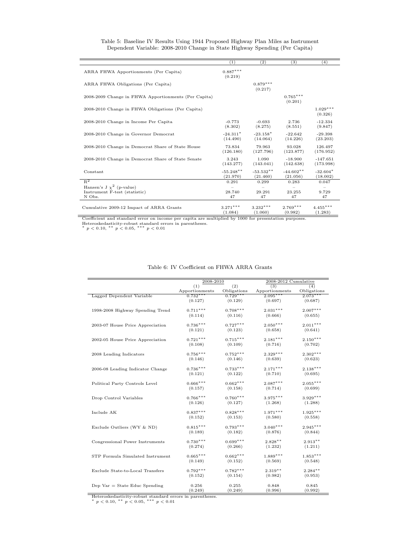|                                                                             |  |  |  | Table 5: Baseline IV Results Using 1944 Proposed Highway Plan Miles as Instrument |
|-----------------------------------------------------------------------------|--|--|--|-----------------------------------------------------------------------------------|
| Dependent Variable: 2008-2010 Change in State Highway Spending (Per Capita) |  |  |  |                                                                                   |

|                                                      | (1)                   | (2)                   | (3)                   | (4)                   |
|------------------------------------------------------|-----------------------|-----------------------|-----------------------|-----------------------|
| ARRA FHWA Apportionments (Per Capita)                | $0.887***$<br>(0.219) |                       |                       |                       |
| ARRA FHWA Obligations (Per Capita)                   |                       | $0.879***$<br>(0.217) |                       |                       |
| 2008-2009 Change in FHWA Apportionments (Per Capita) |                       |                       | $0.765***$<br>(0.201) |                       |
| 2008-2010 Change in FHWA Obligations (Per Capita)    |                       |                       |                       | $1.029***$<br>(0.326) |
| 2008-2010 Change in Income Per Capita                | $-0.773$              | $-0.693$              | 2.736                 | $-12.334$             |
|                                                      | (8.302)               | (8.275)               | (8.551)               | (9.847)               |
| 2008-2010 Change in Governor Democrat                | $-24.311*$            | $-23.158*$            | $-22.642$             | $-29.398$             |
|                                                      | (14.490)              | (14.064)              | (14.226)              | (23.203)              |
| 2008-2010 Change in Democrat Share of State House    | 73.834                | 79.963                | 93.028                | 126.497               |
|                                                      | (126.180)             | (127.796)             | (123.877)             | (176.952)             |
| 2008-2010 Change in Democrat Share of State Senate   | 3.243                 | 1.090                 | $-18.900$             | $-147.651$            |
|                                                      | (143.277)             | (143.041)             | (142.638)             | (173.998)             |
| Constant                                             | $-55.248**$           | $-53.532**$           | $-44.602**$           | $-32.604*$            |
|                                                      | (21.970)              | (21.460)              | (21.056)              | (18.002)              |
| $R^2$                                                | 0.291                 | 0.299                 | 0.283                 | 0.047                 |
| Hansen's J $\chi^2$ (p-value)                        |                       |                       |                       |                       |
| Instrument F-test (statistic)                        | 28.740                | 29.291                | 23.255                | 9.729                 |
| N Obs.                                               | 47                    | 47                    | 47                    | 47                    |
| Cumulative 2009-12 Impact of ARRA Grants             | $3.271***$            | $3.232***$            | $2.769***$            | $4.455***$            |
|                                                      | (1.084)               | (1.060)               | (0.982)               | (1.283)               |

Coefficient and standard error on income per capita are multiplied by 1000 for presentation purposes.<br>Heteroskedasticity-robust standard errors in parentheses.<br>\* p < 0.10, \*\* p < 0.05, \*\*\* p < 0.01

#### Table 6: IV Coefficient on FHWA ARRA Grants

|                                  | 2008-2010      |             | 2008-2012 Cumulative |             |
|----------------------------------|----------------|-------------|----------------------|-------------|
|                                  | (1)            | (2)         | (3)                  | (4)         |
|                                  | Apportionments | Obligations | Apportionments       | Obligations |
| Lagged Dependent Variable        | $0.732***$     | $0.729***$  | $2.095***$           | $2.073***$  |
|                                  | (0.127)        | (0.129)     | (0.697)              | (0.687)     |
| 1998-2008 Highway Spending Trend | $0.711***$     | $0.708***$  | $2.031***$           | $2.007***$  |
|                                  | (0.114)        | (0.116)     | (0.666)              | (0.655)     |
|                                  |                |             |                      |             |
| 2003-07 House Price Appreciation | $0.736***$     | $0.727***$  | $2.050***$           | $2.011***$  |
|                                  | (0.121)        | (0.123)     | (0.658)              | (0.641)     |
|                                  |                |             |                      |             |
| 2002-05 House Price Appreciation | $0.721***$     | $0.715***$  | $2.181***$           | $2.150***$  |
|                                  | (0.108)        | (0.109)     | (0.716)              | (0.702)     |
|                                  |                |             |                      |             |
| 2008 Leading Indicators          | $0.756***$     | $0.752***$  | $2.329***$           | $2.302***$  |
|                                  | (0.146)        | (0.146)     | (0.639)              | (0.623)     |
| 2006-08 Leading Indicator Change | $0.736***$     | $0.733***$  | $2.171***$           | $2.138***$  |
|                                  | (0.121)        | (0.122)     | (0.710)              | (0.695)     |
|                                  |                |             |                      |             |
| Political Party Controls Level   | $0.666***$     | $0.662***$  | $2.087***$           | $2.055***$  |
|                                  | (0.157)        | (0.158)     | (0.714)              | (0.699)     |
|                                  |                |             |                      |             |
| Drop Control Variables           | $0.766***$     | $0.760***$  | $3.975***$           | $3.929***$  |
|                                  | (0.126)        | (0.127)     | (1.268)              | (1.288)     |
|                                  |                |             |                      |             |
| Include AK                       | $0.837***$     | $0.828***$  | $1.971***$           | $1.925***$  |
|                                  | (0.152)        | (0.153)     | (0.580)              | (0.558)     |
| Exclude Outliers (WY & ND)       | $0.815***$     | $0.793***$  | $3.040***$           | $2.945***$  |
|                                  | (0.189)        | (0.182)     | (0.876)              | (0.844)     |
|                                  |                |             |                      |             |
| Congressional Power Instruments  | $0.730***$     | $0.699***$  | $2.828**$            | $2.913**$   |
|                                  | (0.274)        | (0.266)     | (1.232)              | (1.211)     |
|                                  |                |             |                      |             |
| STP Formula Simulated Instrument | $0.665***$     | $0.662***$  | $1.889***$           | $1.853***$  |
|                                  | (0.149)        | (0.152)     | (0.569)              | (0.548)     |
|                                  |                |             |                      |             |
| Exclude State-to-Local Transfers | $0.792***$     | $0.782***$  | $2.319**$            | $2.284***$  |
|                                  | (0.152)        | (0.154)     | (0.982)              | (0.953)     |
| Dep Var $=$ State Educ Spending  | 0.256          | 0.255       | 0.848                | 0.845       |
|                                  | (0.249)        | (0.249)     | (0.996)              | (0.992)     |
|                                  |                |             |                      |             |

Heteroskedasticity-robust standard errors in parentheses.<br>\*  $p < 0.10$ , \*\*  $p < 0.05$ , \*\*\*  $p < 0.01$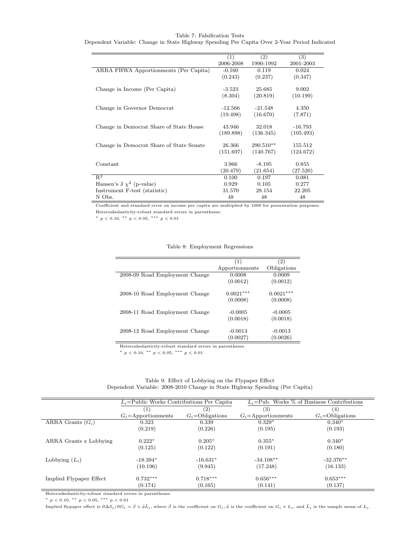Table 7: Falsification Tests

Dependent Variable: Change in State Highway Spending Per Capita Over 2-Year Period Indicated

|                                          | (1)       | (2)         | (3)       |
|------------------------------------------|-----------|-------------|-----------|
|                                          | 2006-2008 | 1990-1992   | 2001-2003 |
| ARRA FHWA Apportionments (Per Capita)    | $-0.160$  | 0.119       | 0.024     |
|                                          | (0.243)   | (0.237)     | (0.347)   |
|                                          |           |             |           |
| Change in Income (Per Capita)            | $-3.523$  | 25.685      | 9.002     |
|                                          | (8.304)   | (20.819)    | (10.199)  |
| Change in Governor Democrat              | $-12.566$ | $-21.548$   | 4.350     |
|                                          | (19.498)  | (16.670)    | (7.871)   |
|                                          |           |             |           |
| Change in Democrat Share of State House  | 43.946    | 32.018      | $-16.793$ |
|                                          | (189.898) | (136.345)   | (105.493) |
| Change in Democrat Share of State Senate | 26.366    | $290.510**$ | 155.512   |
|                                          |           |             |           |
|                                          | (151.697) | (140.767)   | (124.672) |
| Constant                                 | 3.966     | $-8.195$    | 0.855     |
|                                          | (20.479)  | (21.654)    | (27.520)  |
| $R^2$                                    | 0.100     | 0.197       | 0.081     |
| Hansen's J $\chi^2$ (p-value)            | 0.929     | 0.105       | 0.277     |
| Instrument F-test (statistic)            | 31.570    | 28.154      | 22.205    |
| N Obs.                                   | 48        | 48          | 48        |

Coefficient and standard error on income per capita are multiplied by 1000 for presentation purposes. Heteroskedasticity-robust standard errors in parentheses.

<sup>∗</sup> p < 0.10, ∗∗ p < 0.05, ∗∗∗ p < 0.01

|                                | (1)            | $\left( 2\right)$ |
|--------------------------------|----------------|-------------------|
|                                | Apportionments | Obligations       |
| 2008-09 Road Employment Change | 0.0008         | 0.0009            |
|                                | (0.0012)       | (0.0012)          |
|                                |                |                   |
| 2008-10 Road Employment Change | $0.0021***$    | $0.0021***$       |
|                                | (0.0008)       | (0.0008)          |
|                                |                |                   |
| 2008-11 Road Employment Change | $-0.0005$      | $-0.0005$         |
|                                | (0.0018)       | (0.0018)          |
|                                |                |                   |
| 2008-12 Road Employment Change | $-0.0013$      | $-0.0013$         |
|                                | (0.0027)       | (0.0026)          |

Table 8: Employment Regressions

Heteroskedasticity-robust standard errors in parentheses.

<sup>∗</sup> p < 0.10, ∗∗ p < 0.05, ∗∗∗ p < 0.01

|                         | $L_i$ =Public Works Contributions Per Capita |                    | $L_i$ =Pub. Works % of Business Contributions |                    |  |
|-------------------------|----------------------------------------------|--------------------|-----------------------------------------------|--------------------|--|
|                         | $\mathbf{1}$                                 | $\left( 2\right)$  | $\left( 3\right)$                             | (4)                |  |
|                         | $G_i =$ Apportionments                       | $G_i$ =Obligations | $G_i$ =Apportionments                         | $G_i$ =Obligations |  |
| ARRA Grants $(G_i)$     | 0.323                                        | 0.339              | $0.329*$                                      | $0.340*$           |  |
|                         | (0.219)                                      | (0.226)            | (0.195)                                       | (0.193)            |  |
| ARRA Grants x Lobbying  | $0.222*$                                     | $0.205*$           | $0.355*$                                      | $0.340*$           |  |
|                         | (0.125)                                      | (0.122)            | (0.191)                                       | (0.180)            |  |
| Lobbying $(L_i)$        | $-18.394*$                                   | $-16.631*$         | $-34.108**$                                   | $-32.376**$        |  |
|                         | (10.196)                                     | (9.945)            | (17.248)                                      | (16.133)           |  |
| Implied Flypaper Effect | $0.732***$                                   | $0.718***$         | $0.656***$                                    | $0.653***$         |  |
|                         | (0.174)                                      | (0.165)            | (0.141)                                       | (0.137)            |  |

Table 9: Effect of Lobbying on the Flypaper Effect Dependent Variable: 2008-2010 Change in State Highway Spending (Per Capita)

Heteroskedasticity-robust standard errors in parentheses.

 $^{*}$   $p$   $<$   $0.10,\; ^{**}$   $p$   $<$   $0.05,\; ^{***}$   $p$   $<$   $0.01$ 

Implied flypaper effect is  $\partial \Delta S_i/\partial G_i = \hat{\beta} + \hat{\phi} \bar{L}_i$ , where  $\hat{\beta}$  is the coefficient on  $G_i$ ,  $\hat{\phi}$  is the coefficient on  $G_i \times L_i$ , and  $\bar{L}_i$  is the sample mean of  $L_i$ .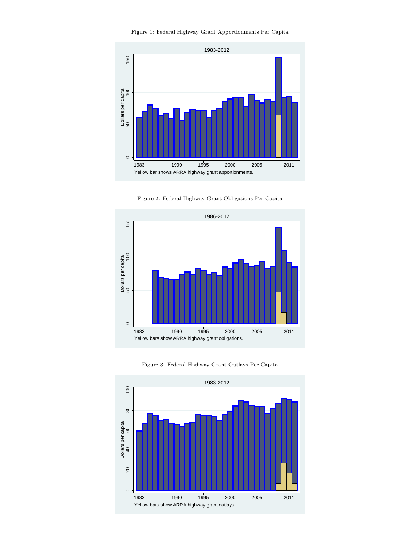Figure 1: Federal Highway Grant Apportionments Per Capita



Figure 2: Federal Highway Grant Obligations Per Capita





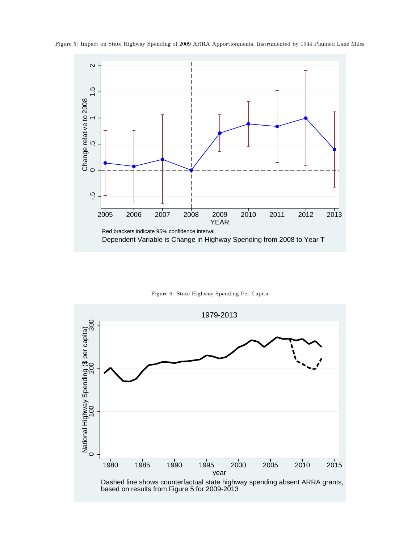



Figure 6: State Highway Spending Per Capita

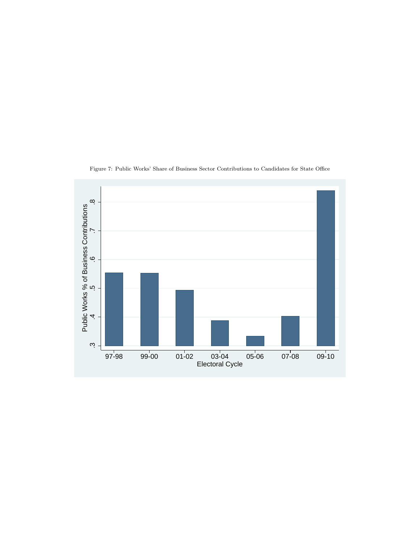

Figure 7: Public Works' Share of Business Sector Contributions to Candidates for State Office